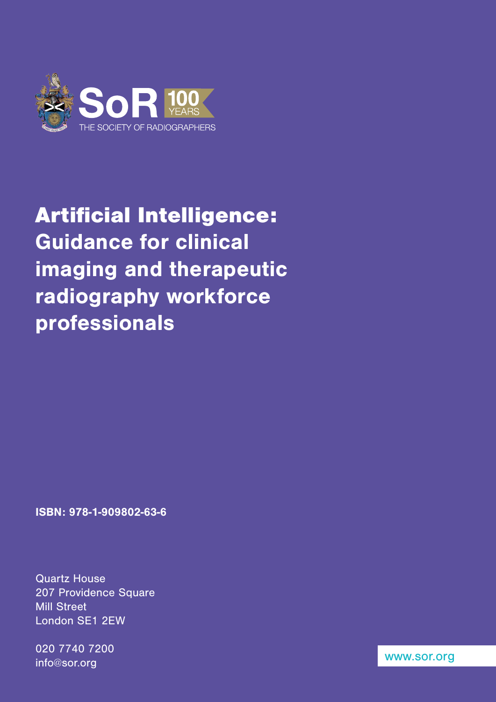

# Artificial Intelligence: Guidance for clinical imaging and therapeutic radiography workforce professionals

ISBN: 978-1-909802-63-6

Quartz House 207 Providence Square **Mill Street** London SE1 2EW

020 7740 7200 info@sor.org

[www.sor.org](http://www.sor.org)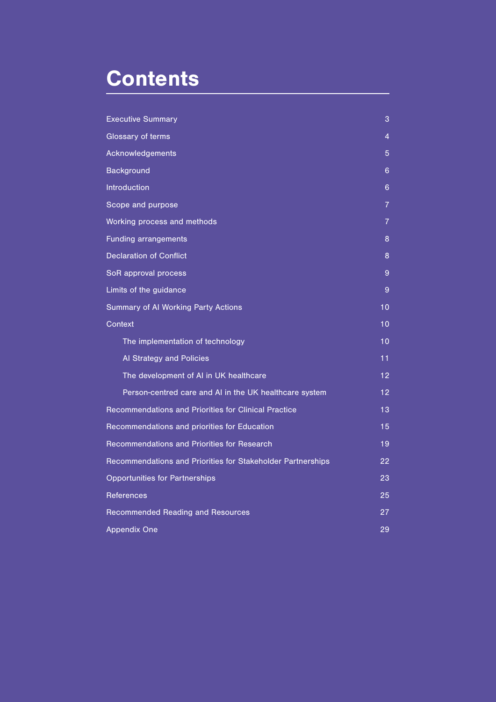# **Contents**

| <b>Executive Summary</b>                                    | $\overline{3}$  |
|-------------------------------------------------------------|-----------------|
| Glossary of terms                                           | 4               |
| Acknowledgements                                            | 5               |
| <b>Background</b>                                           | 6               |
| <b>Introduction</b>                                         | 6               |
| Scope and purpose                                           | 7               |
| Working process and methods                                 | $\overline{7}$  |
| <b>Funding arrangements</b>                                 | 8               |
| <b>Declaration of Conflict</b>                              | 8               |
| SoR approval process                                        | 9               |
| Limits of the guidance                                      | 9               |
| Summary of Al Working Party Actions                         | 10              |
| Context                                                     | 10              |
| The implementation of technology                            | 10              |
| Al Strategy and Policies                                    | 11              |
| The development of AI in UK healthcare                      | 12              |
| Person-centred care and AI in the UK healthcare system      | $\overline{12}$ |
| Recommendations and Priorities for Clinical Practice        | 13              |
| Recommendations and priorities for Education                | 15              |
| Recommendations and Priorities for Research                 | 19              |
| Recommendations and Priorities for Stakeholder Partnerships | 22              |
| <b>Opportunities for Partnerships</b>                       | 23              |
| <b>References</b>                                           | 25              |
| <b>Recommended Reading and Resources</b>                    | 27              |
| <b>Appendix One</b>                                         | 29              |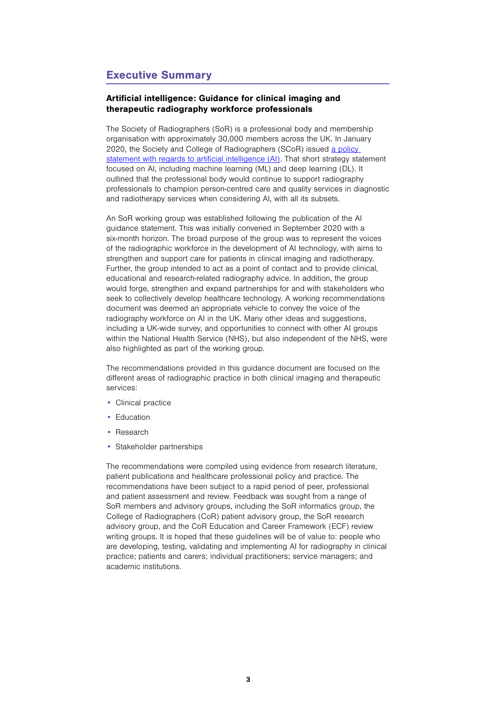# Executive Summary

## Artificial intelligence: Guidance for clinical imaging and therapeutic radiography workforce professionals

The Society of Radiographers (SoR) is a professional body and membership organisation with approximately 30,000 members across the UK. In January 2020, the Society and College of Radiographers (SCoR) issued a policy [statement with regards to artificial intelligence \(AI\)](https://www.sor.org/getmedia/c448d1be-63e9-4224-969c-320963825ab6/ai_policy_statement_v6_16_jan_2020_-_final.pdf_2). That short strategy statement focused on AI, including machine learning (ML) and deep learning (DL). It outlined that the professional body would continue to support radiography professionals to champion person-centred care and quality services in diagnostic and radiotherapy services when considering AI, with all its subsets.

An SoR working group was established following the publication of the AI guidance statement. This was initially convened in September 2020 with a six-month horizon. The broad purpose of the group was to represent the voices of the radiographic workforce in the development of AI technology, with aims to strengthen and support care for patients in clinical imaging and radiotherapy. Further, the group intended to act as a point of contact and to provide clinical, educational and research-related radiography advice. In addition, the group would forge, strengthen and expand partnerships for and with stakeholders who seek to collectively develop healthcare technology. A working recommendations document was deemed an appropriate vehicle to convey the voice of the radiography workforce on AI in the UK. Many other ideas and suggestions, including a UK-wide survey, and opportunities to connect with other AI groups within the National Health Service (NHS), but also independent of the NHS, were also highlighted as part of the working group.

The recommendations provided in this guidance document are focused on the different areas of radiographic practice in both clinical imaging and therapeutic services:

- Clinical practice
- Education
- Research
- Stakeholder partnerships

The recommendations were compiled using evidence from research literature, patient publications and healthcare professional policy and practice. The recommendations have been subject to a rapid period of peer, professional and patient assessment and review. Feedback was sought from a range of SoR members and advisory groups, including the SoR informatics group, the College of Radiographers (CoR) patient advisory group, the SoR research advisory group, and the CoR Education and Career Framework (ECF) review writing groups. It is hoped that these guidelines will be of value to: people who are developing, testing, validating and implementing AI for radiography in clinical practice; patients and carers; individual practitioners; service managers; and academic institutions.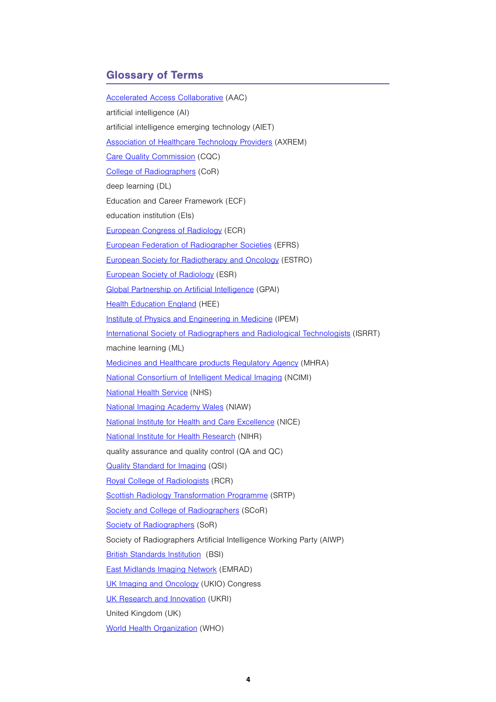# Glossary of Terms

[Accelerated Access Collaborative](https://www.england.nhs.uk/aac/) (AAC) artificial intelligence (AI) artificial intelligence emerging technology (AIET) [Association of Healthcare Technology Providers](https://www.axrem.org.uk/) (AXREM) [Care Quality Commission](https://cqc.org.uk/) (CQC) [College of Radiographers](https://www.collegeofradiographers.ac.uk/) (CoR) deep learning (DL) Education and Career Framework (ECF) education institution (EIs) [European Congress of Radiology](https://www.myesr.org/congress) (ECR) [European Federation of Radiographer Societies](https://www.efrs.eu/) (EFRS) [European Society for Radiotherapy and Oncology](https://www.estro.org/) (ESTRO) [European Society of Radiology](https://www.myesr.org/) (ESR) [Global Partnership on Artificial Intelligence](https://www.gpai.ai/) (GPAI) **[Health Education England](https://www.hee.nhs.uk/) (HEE)** [Institute of Physics and Engineering in Medicine](https://www.ipem.ac.uk/) (IPEM) [International Society of Radiographers and Radiological Technologists](https://www.isrrt.org/) (ISRRT) machine learning (ML) [Medicines and Healthcare products Regulatory Agency](https://www.gov.uk/government/organisations/medicines-and-healthcare-products-regulatory-agency) (MHRA) [National Consortium of Intelligent Medical Imaging](https://ncimi.co.uk/) (NCIMI) [National Health Service](https://www.nhs.uk/) (NHS) [National Imaging Academy Wales](http://imagingacademy.wales/) (NIAW) [National Institute for Health and Care Excellence](https://www.nice.org.uk/) (NICE) [National Institute for Health Research](https://www.nihr.ac.uk/) (NIHR) quality assurance and quality control (QA and QC) [Quality Standard for Imaging](https://www.collegeofradiographers.ac.uk/about-the-college/the-quality-standard-for-imaging) (QSI) [Royal College of Radiologists](https://www.rcr.ac.uk/) (RCR) [Scottish Radiology Transformation Programme](https://www.radiology.scot.nhs.uk/) (SRTP) [Society and College of Radiographers](https://www.sor.org/) (SCoR) [Society of Radiographers](https://www.sor.org/) (SoR) Society of Radiographers Artificial Intelligence Working Party (AIWP) [British Standards Institution](https://www.bsigroup.com/) (BSI) [East Midlands Imaging Network](https://emrad.nhs.uk/) (EMRAD) [UK Imaging and Oncology](https://www.ukio.org.uk/) (UKIO) Congress [UK Research and Innovation](https://www.ukri.org/?_ga=2.47011951.953797447.1625667553-1172591077.1611581394) (UKRI) United Kingdom (UK) [World Health Organization](https://www.who.int/) (WHO)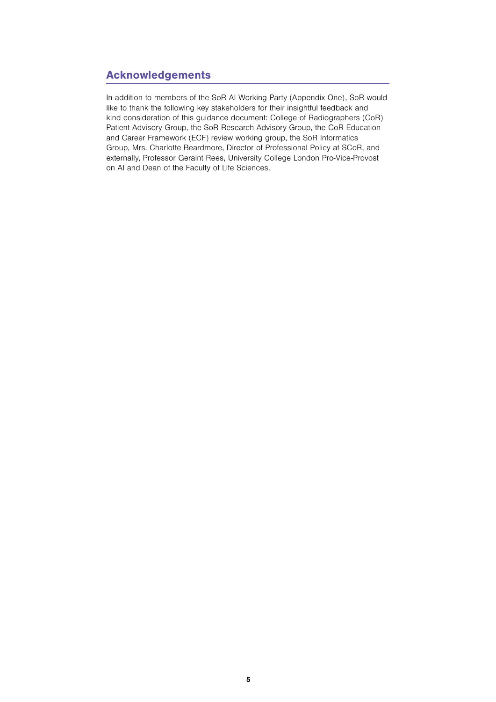# Acknowledgements

In addition to members of the SoR AI Working Party (Appendix One), SoR would like to thank the following key stakeholders for their insightful feedback and kind consideration of this guidance document: College of Radiographers (CoR) Patient Advisory Group, the SoR Research Advisory Group, the CoR Education and Career Framework (ECF) review working group, the SoR Informatics Group, Mrs. Charlotte Beardmore, Director of Professional Policy at SCoR, and externally, Professor Geraint Rees, University College London Pro-Vice-Provost on AI and Dean of the Faculty of Life Sciences.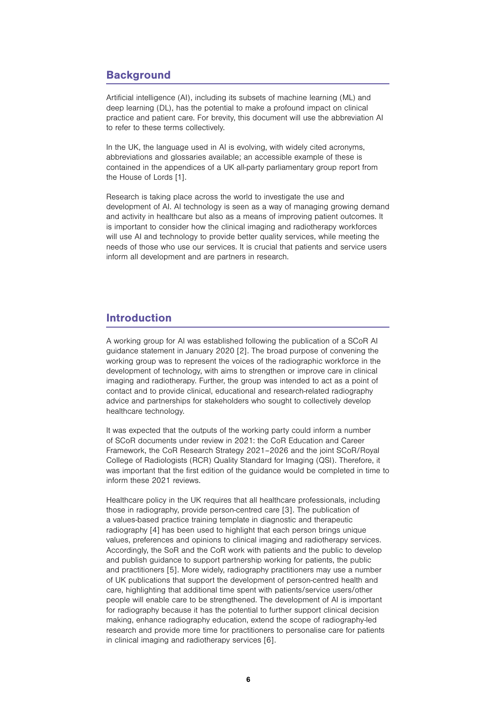# **Background**

Artificial intelligence (AI), including its subsets of machine learning (ML) and deep learning (DL), has the potential to make a profound impact on clinical practice and patient care. For brevity, this document will use the abbreviation AI to refer to these terms collectively.

In the UK, the language used in AI is evolving, with widely cited acronyms, abbreviations and glossaries available; an accessible example of these is contained in the appendices of a UK all-party parliamentary group report from the House of Lords [1].

Research is taking place across the world to investigate the use and development of AI. AI technology is seen as a way of managing growing demand and activity in healthcare but also as a means of improving patient outcomes. It is important to consider how the clinical imaging and radiotherapy workforces will use AI and technology to provide better quality services, while meeting the needs of those who use our services. It is crucial that patients and service users inform all development and are partners in research.

## Introduction

A working group for AI was established following the publication of a SCoR AI guidance statement in January 2020 [2]. The broad purpose of convening the working group was to represent the voices of the radiographic workforce in the development of technology, with aims to strengthen or improve care in clinical imaging and radiotherapy. Further, the group was intended to act as a point of contact and to provide clinical, educational and research-related radiography advice and partnerships for stakeholders who sought to collectively develop healthcare technology.

It was expected that the outputs of the working party could inform a number of SCoR documents under review in 2021: the CoR Education and Career Framework, the CoR Research Strategy 2021–2026 and the joint SCoR/Royal College of Radiologists (RCR) Quality Standard for Imaging (QSI). Therefore, it was important that the first edition of the guidance would be completed in time to inform these 2021 reviews.

Healthcare policy in the UK requires that all healthcare professionals, including those in radiography, provide person-centred care [3]. The publication of a values-based practice training template in diagnostic and therapeutic radiography [4] has been used to highlight that each person brings unique values, preferences and opinions to clinical imaging and radiotherapy services. Accordingly, the SoR and the CoR work with patients and the public to develop and publish guidance to support partnership working for patients, the public and practitioners [5]. More widely, radiography practitioners may use a number of UK publications that support the development of person-centred health and care, highlighting that additional time spent with patients/service users/other people will enable care to be strengthened. The development of AI is important for radiography because it has the potential to further support clinical decision making, enhance radiography education, extend the scope of radiography-led research and provide more time for practitioners to personalise care for patients in clinical imaging and radiotherapy services [6].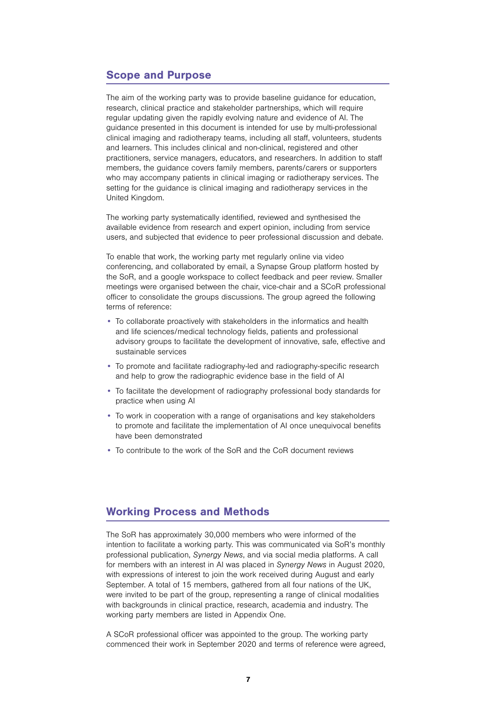## Scope and Purpose

The aim of the working party was to provide baseline guidance for education, research, clinical practice and stakeholder partnerships, which will require regular updating given the rapidly evolving nature and evidence of AI. The guidance presented in this document is intended for use by multi-professional clinical imaging and radiotherapy teams, including all staff, volunteers, students and learners. This includes clinical and non-clinical, registered and other practitioners, service managers, educators, and researchers. In addition to staff members, the guidance covers family members, parents/carers or supporters who may accompany patients in clinical imaging or radiotherapy services. The setting for the guidance is clinical imaging and radiotherapy services in the United Kingdom.

The working party systematically identified, reviewed and synthesised the available evidence from research and expert opinion, including from service users, and subjected that evidence to peer professional discussion and debate.

To enable that work, the working party met regularly online via video conferencing, and collaborated by email, a Synapse Group platform hosted by the SoR, and a google workspace to collect feedback and peer review. Smaller meetings were organised between the chair, vice-chair and a SCoR professional officer to consolidate the groups discussions. The group agreed the following terms of reference:

- To collaborate proactively with stakeholders in the informatics and health and life sciences/medical technology fields, patients and professional advisory groups to facilitate the development of innovative, safe, effective and sustainable services
- To promote and facilitate radiography-led and radiography-specific research and help to grow the radiographic evidence base in the field of AI
- To facilitate the development of radiography professional body standards for practice when using AI
- To work in cooperation with a range of organisations and key stakeholders to promote and facilitate the implementation of AI once unequivocal benefits have been demonstrated
- To contribute to the work of the SoR and the CoR document reviews

## Working Process and Methods

The SoR has approximately 30,000 members who were informed of the intention to facilitate a working party. This was communicated via SoR's monthly professional publication, Synergy News, and via social media platforms. A call for members with an interest in AI was placed in Synergy News in August 2020, with expressions of interest to join the work received during August and early September. A total of 15 members, gathered from all four nations of the UK, were invited to be part of the group, representing a range of clinical modalities with backgrounds in clinical practice, research, academia and industry. The working party members are listed in Appendix One.

A SCoR professional officer was appointed to the group. The working party commenced their work in September 2020 and terms of reference were agreed,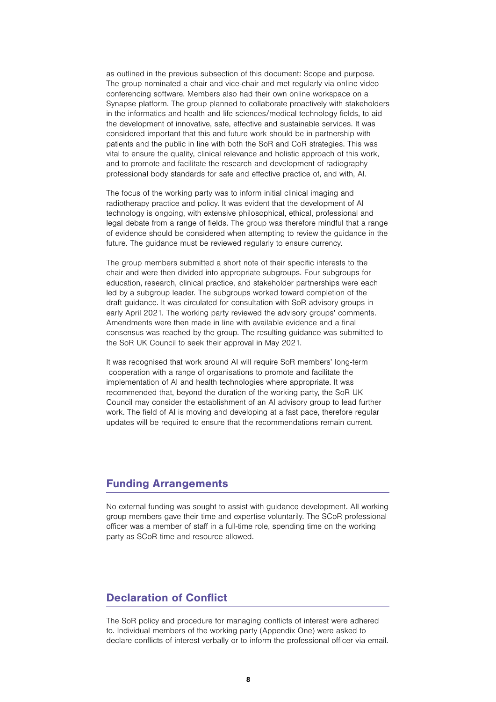as outlined in the previous subsection of this document: Scope and purpose. The group nominated a chair and vice-chair and met regularly via online video conferencing software. Members also had their own online workspace on a Synapse platform. The group planned to collaborate proactively with stakeholders in the informatics and health and life sciences/medical technology fields, to aid the development of innovative, safe, effective and sustainable services. It was considered important that this and future work should be in partnership with patients and the public in line with both the SoR and CoR strategies. This was vital to ensure the quality, clinical relevance and holistic approach of this work, and to promote and facilitate the research and development of radiography professional body standards for safe and effective practice of, and with, AI.

The focus of the working party was to inform initial clinical imaging and radiotherapy practice and policy. It was evident that the development of AI technology is ongoing, with extensive philosophical, ethical, professional and legal debate from a range of fields. The group was therefore mindful that a range of evidence should be considered when attempting to review the guidance in the future. The guidance must be reviewed regularly to ensure currency.

The group members submitted a short note of their specific interests to the chair and were then divided into appropriate subgroups. Four subgroups for education, research, clinical practice, and stakeholder partnerships were each led by a subgroup leader. The subgroups worked toward completion of the draft guidance. It was circulated for consultation with SoR advisory groups in early April 2021. The working party reviewed the advisory groups' comments. Amendments were then made in line with available evidence and a final consensus was reached by the group. The resulting guidance was submitted to the SoR UK Council to seek their approval in May 2021.

It was recognised that work around AI will require SoR members' long-term cooperation with a range of organisations to promote and facilitate the implementation of AI and health technologies where appropriate. It was recommended that, beyond the duration of the working party, the SoR UK Council may consider the establishment of an AI advisory group to lead further work. The field of AI is moving and developing at a fast pace, therefore regular updates will be required to ensure that the recommendations remain current.

## Funding Arrangements

No external funding was sought to assist with guidance development. All working group members gave their time and expertise voluntarily. The SCoR professional officer was a member of staff in a full-time role, spending time on the working party as SCoR time and resource allowed.

# Declaration of Conflict

The SoR policy and procedure for managing conflicts of interest were adhered to. Individual members of the working party (Appendix One) were asked to declare conflicts of interest verbally or to inform the professional officer via email.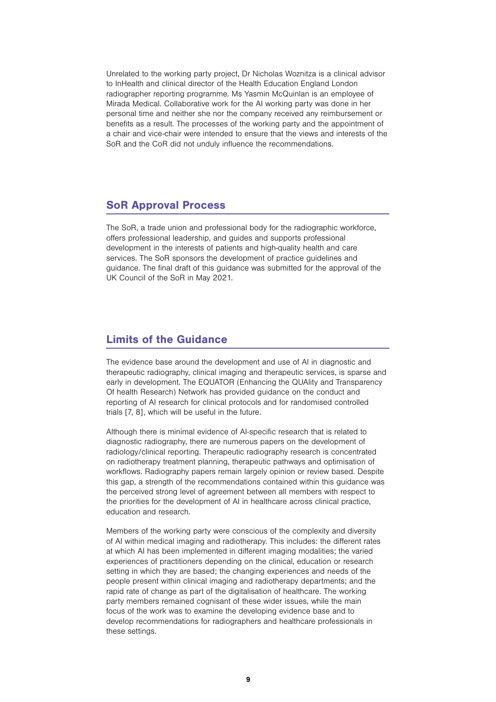Unrelated to the working party project, Dr Nicholas Woznitza is a clinical advisor to InHealth and clinical director of the Health Education England London radiographer reporting programme. Ms Yasmin McQuinlan is an employee of Mirada Medical. Collaborative work for the AI working party was done in her personal time and neither she nor the company received any reimbursement or benefits as a result. The processes of the working party and the appointment of a chair and vice-chair were intended to ensure that the views and interests of the SoR and the CoR did not unduly influence the recommendations.

## SoR Approval Process

The SoR, a trade union and professional body for the radiographic workforce, offers professional leadership, and guides and supports professional development in the interests of patients and high-quality health and care services. The SoR sponsors the development of practice guidelines and guidance. The final draft of this guidance was submitted for the approval of the UK Council of the SoR in May 2021.

# Limits of the Guidance

The evidence base around the development and use of AI in diagnostic and therapeutic radiography, clinical imaging and therapeutic services, is sparse and early in development. The EQUATOR (Enhancing the QUAlity and Transparency Of health Research) Network has provided guidance on the conduct and reporting of AI research for clinical protocols and for randomised controlled trials [7, 8], which will be useful in the future.

Although there is minimal evidence of AI-specific research that is related to diagnostic radiography, there are numerous papers on the development of radiology/clinical reporting. Therapeutic radiography research is concentrated on radiotherapy treatment planning, therapeutic pathways and optimisation of workflows. Radiography papers remain largely opinion or review based. Despite this gap, a strength of the recommendations contained within this guidance was the perceived strong level of agreement between all members with respect to the priorities for the development of AI in healthcare across clinical practice, education and research.

Members of the working party were conscious of the complexity and diversity of AI within medical imaging and radiotherapy. This includes: the different rates at which AI has been implemented in different imaging modalities; the varied experiences of practitioners depending on the clinical, education or research setting in which they are based; the changing experiences and needs of the people present within clinical imaging and radiotherapy departments; and the rapid rate of change as part of the digitalisation of healthcare. The working party members remained cognisant of these wider issues, while the main focus of the work was to examine the developing evidence base and to develop recommendations for radiographers and healthcare professionals in these settings.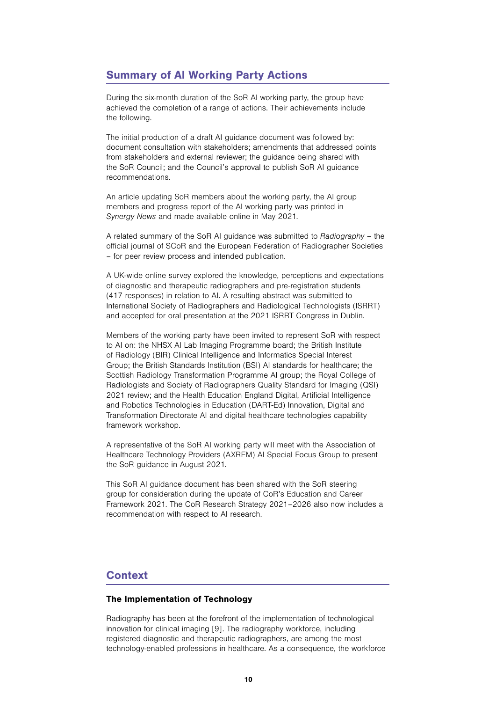# Summary of AI Working Party Actions

During the six-month duration of the SoR AI working party, the group have achieved the completion of a range of actions. Their achievements include the following.

The initial production of a draft AI guidance document was followed by: document consultation with stakeholders; amendments that addressed points from stakeholders and external reviewer; the guidance being shared with the SoR Council; and the Council's approval to publish SoR AI guidance recommendations.

An article updating SoR members about the working party, the AI group members and progress report of the AI working party was printed in Synergy News and made available online in May 2021.

A related summary of the SoR AI guidance was submitted to Radiography – the official journal of SCoR and the European Federation of Radiographer Societies – for peer review process and intended publication.

A UK-wide online survey explored the knowledge, perceptions and expectations of diagnostic and therapeutic radiographers and pre-registration students (417 responses) in relation to AI. A resulting abstract was submitted to International Society of Radiographers and Radiological Technologists (ISRRT) and accepted for oral presentation at the 2021 ISRRT Congress in Dublin.

Members of the working party have been invited to represent SoR with respect to AI on: the NHSX AI Lab Imaging Programme board; the British Institute of Radiology (BIR) Clinical Intelligence and Informatics Special Interest Group; the British Standards Institution (BSI) AI standards for healthcare; the Scottish Radiology Transformation Programme AI group; the Royal College of Radiologists and Society of Radiographers Quality Standard for Imaging (QSI) 2021 review; and the Health Education England Digital, Artificial Intelligence and Robotics Technologies in Education (DART-Ed) Innovation, Digital and Transformation Directorate AI and digital healthcare technologies capability framework workshop.

A representative of the SoR AI working party will meet with the Association of Healthcare Technology Providers (AXREM) AI Special Focus Group to present the SoR guidance in August 2021.

This SoR AI guidance document has been shared with the SoR steering group for consideration during the update of CoR's Education and Career Framework 2021. The CoR Research Strategy 2021–2026 also now includes a recommendation with respect to AI research.

# **Context**

## The Implementation of Technology

Radiography has been at the forefront of the implementation of technological innovation for clinical imaging [9]. The radiography workforce, including registered diagnostic and therapeutic radiographers, are among the most technology-enabled professions in healthcare. As a consequence, the workforce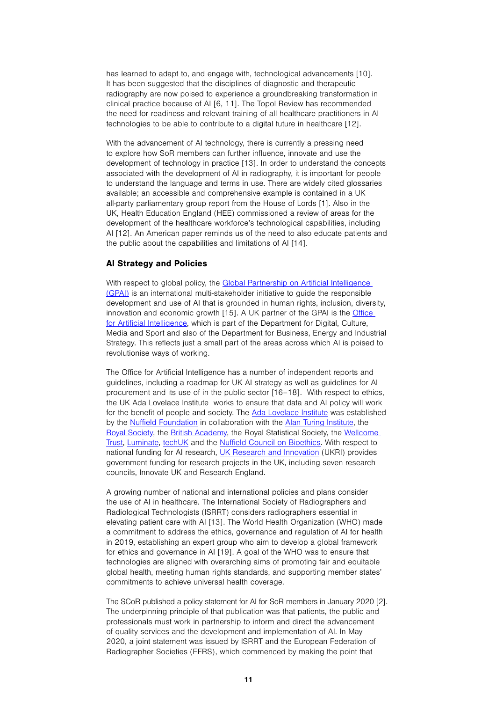has learned to adapt to, and engage with, technological advancements [10]. It has been suggested that the disciplines of diagnostic and therapeutic radiography are now poised to experience a groundbreaking transformation in clinical practice because of AI [6, 11]. The Topol Review has recommended the need for readiness and relevant training of all healthcare practitioners in AI technologies to be able to contribute to a digital future in healthcare [12].

With the advancement of AI technology, there is currently a pressing need to explore how SoR members can further influence, innovate and use the development of technology in practice [13]. In order to understand the concepts associated with the development of AI in radiography, it is important for people to understand the language and terms in use. There are widely cited glossaries available; an accessible and comprehensive example is contained in a UK all-party parliamentary group report from the House of Lords [1]. Also in the UK, Health Education England (HEE) commissioned a review of areas for the development of the healthcare workforce's technological capabilities, including AI [12]. An American paper reminds us of the need to also educate patients and the public about the capabilities and limitations of AI [14].

#### AI Strategy and Policies

With respect to global policy, the Global Partnership on Artificial Intelligence [\(GPAI\)](https://gpai.ai/) is an international multi-stakeholder initiative to guide the responsible development and use of AI that is grounded in human rights, inclusion, diversity, innovation and economic growth [15]. A UK partner of the GPAI is the Office [for Artificial Intelligence](https://www.gov.uk/government/organisations/office-for-artificial-intelligence), which is part of the Department for Digital, Culture, Media and Sport and also of the Department for Business, Energy and Industrial Strategy. This reflects just a small part of the areas across which AI is poised to revolutionise ways of working.

The Office for Artificial Intelligence has a number of independent reports and guidelines, including a roadmap for UK AI strategy as well as guidelines for AI procurement and its use of in the public sector [16–18]. With respect to ethics, the UK Ada Lovelace Institute works to ensure that data and AI policy will work for the benefit of people and society. The [Ada Lovelace Institute](https://www.adalovelaceinstitute.org/) was established by the [Nuffield Foundation](https://www.nuffieldfoundation.org/) in collaboration with the [Alan Turing Institute](https://www.turing.ac.uk/), the [Royal Society,](https://royalsociety.org/) the [British Academy](https://www.thebritishacademy.ac.uk/), the [Royal Statistical Society](https://www.rss.org.uk/), the [Wellcome](https://wellcome.org/)  [Trust](https://wellcome.org/), [Luminate,](https://luminategroup.com/) [techUK](https://www.techuk.org/) and the [Nuffield Council on Bioethics.](https://www.nuffieldfoundation.org/research/nuffield-council-on-bioethics) With respect to national funding for AI research, [UK Research and Innovation](https://www.ukri.org/) (UKRI) provides government funding for research projects in the UK, including seven research councils, Innovate UK and Research England.

A growing number of national and international policies and plans consider the use of AI in healthcare. The International Society of Radiographers and Radiological Technologists (ISRRT) considers radiographers essential in elevating patient care with AI [13]. The World Health Organization (WHO) made a commitment to address the ethics, governance and regulation of AI for health in 2019, establishing an expert group who aim to develop a global framework for ethics and governance in AI [19]. A goal of the WHO was to ensure that technologies are aligned with overarching aims of promoting fair and equitable global health, meeting human rights standards, and supporting member states' commitments to achieve universal health coverage.

The SCoR published a policy statement for AI for SoR members in January 2020 [2]. The underpinning principle of that publication was that patients, the public and professionals must work in partnership to inform and direct the advancement of quality services and the development and implementation of AI. In May 2020, a joint statement was issued by ISRRT and the European Federation of Radiographer Societies (EFRS), which commenced by making the point that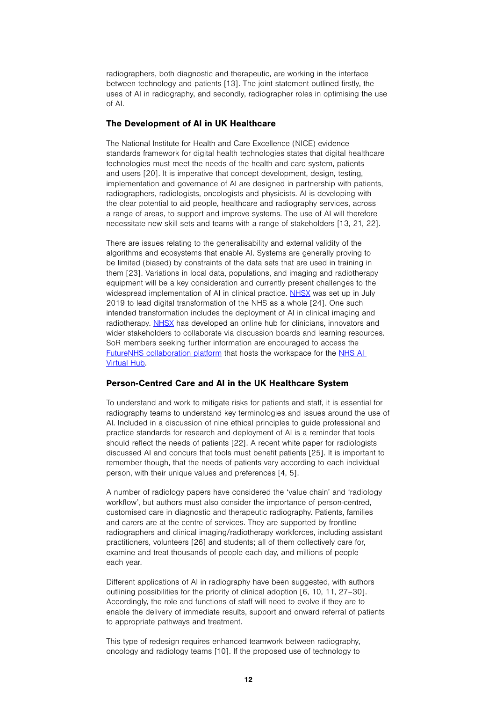radiographers, both diagnostic and therapeutic, are working in the interface between technology and patients [13]. The joint statement outlined firstly, the uses of AI in radiography, and secondly, radiographer roles in optimising the use of AI.

## The Development of AI in UK Healthcare

The National Institute for Health and Care Excellence (NICE) evidence standards framework for digital health technologies states that digital healthcare technologies must meet the needs of the health and care system, patients and users [20]. It is imperative that concept development, design, testing, implementation and governance of AI are designed in partnership with patients, radiographers, radiologists, oncologists and physicists. AI is developing with the clear potential to aid people, healthcare and radiography services, across a range of areas, to support and improve systems. The use of AI will therefore necessitate new skill sets and teams with a range of stakeholders [13, 21, 22].

There are issues relating to the generalisability and external validity of the algorithms and ecosystems that enable AI. Systems are generally proving to be limited (biased) by constraints of the data sets that are used in training in them [23]. Variations in local data, populations, and imaging and radiotherapy equipment will be a key consideration and currently present challenges to the widespread implementation of AI in clinical practice. [NHSX](https://www.nhsx.nhs.uk/) was set up in July 2019 to lead digital transformation of the NHS as a whole [24]. One such intended transformation includes the deployment of AI in clinical imaging and radiotherapy. [NHSX](https://www.nhsx.nhs.uk/) has developed an online hub for clinicians, innovators and wider stakeholders to collaborate via discussion boards and learning resources. SoR members seeking further information are encouraged to access the [FutureNHS collaboration platform](https://future.nhs.uk/system/login?nextURL=%2Fconnect%2Eti%2FAIVirtualHub%2Fgrouphome) that hosts the workspace for the [NHS AI](http://www.nhsx.nhs.uk/ai-lab/ai-lab-virtual-hub/)  [Virtual Hub.](http://www.nhsx.nhs.uk/ai-lab/ai-lab-virtual-hub/)

#### Person-Centred Care and AI in the UK Healthcare System

To understand and work to mitigate risks for patients and staff, it is essential for radiography teams to understand key terminologies and issues around the use of AI. Included in a discussion of nine ethical principles to guide professional and practice standards for research and deployment of AI is a reminder that tools should reflect the needs of patients [22]. A recent white paper for radiologists discussed AI and concurs that tools must benefit patients [25]. It is important to remember though, that the needs of patients vary according to each individual person, with their unique values and preferences [4, 5].

A number of radiology papers have considered the 'value chain' and 'radiology workflow', but authors must also consider the importance of person-centred, customised care in diagnostic and therapeutic radiography. Patients, families and carers are at the centre of services. They are supported by frontline radiographers and clinical imaging/radiotherapy workforces, including assistant practitioners, volunteers [26] and students; all of them collectively care for, examine and treat thousands of people each day, and millions of people each year.

Different applications of AI in radiography have been suggested, with authors outlining possibilities for the priority of clinical adoption [6, 10, 11, 27–30]. Accordingly, the role and functions of staff will need to evolve if they are to enable the delivery of immediate results, support and onward referral of patients to appropriate pathways and treatment.

This type of redesign requires enhanced teamwork between radiography, oncology and radiology teams [10]. If the proposed use of technology to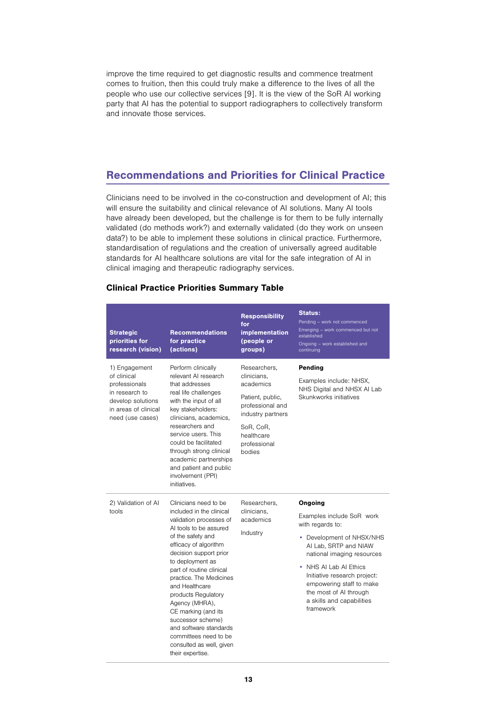improve the time required to get diagnostic results and commence treatment comes to fruition, then this could truly make a difference to the lives of all the people who use our collective services [9]. It is the view of the SoR AI working party that AI has the potential to support radiographers to collectively transform and innovate those services.

# Recommendations and Priorities for Clinical Practice

Clinicians need to be involved in the co-construction and development of AI; this will ensure the suitability and clinical relevance of AI solutions. Many AI tools have already been developed, but the challenge is for them to be fully internally validated (do methods work?) and externally validated (do they work on unseen data?) to be able to implement these solutions in clinical practice. Furthermore, standardisation of regulations and the creation of universally agreed auditable standards for AI healthcare solutions are vital for the safe integration of AI in clinical imaging and therapeutic radiography services.

| <b>Clinical Practice Priorities Summary Table</b> |  |  |
|---------------------------------------------------|--|--|
|                                                   |  |  |

| <b>Strategic</b><br>priorities for<br>research (vision)                                                                          | <b>Recommendations</b><br>for practice<br>(actions)                                                                                                                                                                                                                                                                                                                                                                                                                 | <b>Responsibility</b><br>for<br><b>implementation</b><br>(people or<br>groups)                                                                             | <b>Status:</b><br>Pending - work not commenced<br>Emerging - work commenced but not<br>established<br>Ongoing - work established and<br>continuing                                                                                                                                                     |
|----------------------------------------------------------------------------------------------------------------------------------|---------------------------------------------------------------------------------------------------------------------------------------------------------------------------------------------------------------------------------------------------------------------------------------------------------------------------------------------------------------------------------------------------------------------------------------------------------------------|------------------------------------------------------------------------------------------------------------------------------------------------------------|--------------------------------------------------------------------------------------------------------------------------------------------------------------------------------------------------------------------------------------------------------------------------------------------------------|
| 1) Engagement<br>of clinical<br>professionals<br>in research to<br>develop solutions<br>in areas of clinical<br>need (use cases) | Perform clinically<br>relevant AI research<br>that addresses<br>real life challenges<br>with the input of all<br>key stakeholders:<br>clinicians, academics,<br>researchers and<br>service users. This<br>could be facilitated<br>through strong clinical<br>academic partnerships<br>and patient and public<br>involvement (PPI)<br>initiatives.                                                                                                                   | Researchers,<br>clinicians,<br>academics<br>Patient, public,<br>professional and<br>industry partners<br>SoR, CoR,<br>healthcare<br>professional<br>bodies | Pending<br>Examples include: NHSX,<br>NHS Digital and NHSX AI Lab<br>Skunkworks initiatives                                                                                                                                                                                                            |
| 2) Validation of Al<br>tools                                                                                                     | Clinicians need to be<br>included in the clinical<br>validation processes of<br>AI tools to be assured<br>of the safety and<br>efficacy of algorithm<br>decision support prior<br>to deployment as<br>part of routine clinical<br>practice. The Medicines<br>and Healthcare<br>products Regulatory<br>Agency (MHRA),<br>CE marking (and its<br>successor scheme)<br>and software standards<br>committees need to be<br>consulted as well, given<br>their expertise. | Researchers,<br>clinicians,<br>academics<br>Industry                                                                                                       | Ongoing<br>Examples include SoR work<br>with regards to:<br>• Development of NHSX/NHS<br>AI Lab, SRTP and NIAW<br>national imaging resources<br>• NHS AI Lab AI Ethics<br>Initiative research project:<br>empowering staff to make<br>the most of AI through<br>a skills and capabilities<br>framework |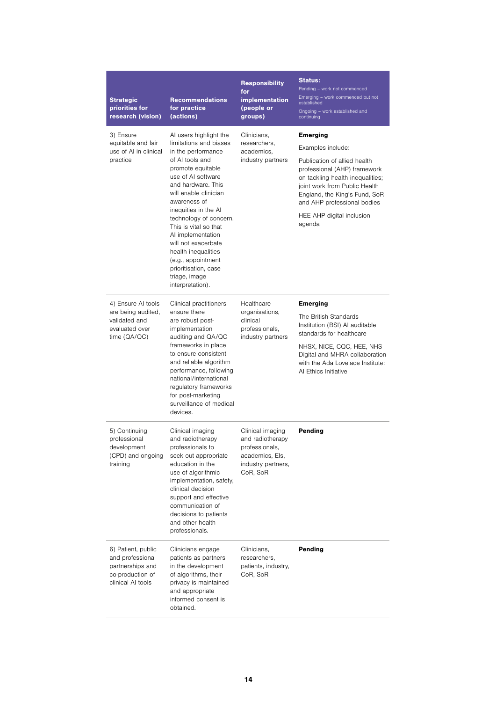| <b>Strategic</b><br>priorities for<br>research (vision)                                             | <b>Recommendations</b><br>for practice<br>(actions)                                                                                                                                                                                                                                                                                                                                                                                  | <b>Responsibility</b><br>for<br>implementation<br>(people or<br>groups)                                     | <b>Status:</b><br>Pending - work not commenced<br>Emerging - work commenced but not<br>established<br>Ongoing - work established and<br>continuing                                                                                                                               |
|-----------------------------------------------------------------------------------------------------|--------------------------------------------------------------------------------------------------------------------------------------------------------------------------------------------------------------------------------------------------------------------------------------------------------------------------------------------------------------------------------------------------------------------------------------|-------------------------------------------------------------------------------------------------------------|----------------------------------------------------------------------------------------------------------------------------------------------------------------------------------------------------------------------------------------------------------------------------------|
| 3) Ensure<br>equitable and fair<br>use of AI in clinical<br>practice                                | AI users highlight the<br>limitations and biases<br>in the performance<br>of AI tools and<br>promote equitable<br>use of AI software<br>and hardware. This<br>will enable clinician<br>awareness of<br>inequities in the AI<br>technology of concern.<br>This is vital so that<br>AI implementation<br>will not exacerbate<br>health inequalities<br>(e.g., appointment<br>prioritisation, case<br>triage, image<br>interpretation). | Clinicians,<br>researchers,<br>academics,<br>industry partners                                              | <b>Emerging</b><br>Examples include:<br>Publication of allied health<br>professional (AHP) framework<br>on tackling health inequalities;<br>joint work from Public Health<br>England, the King's Fund, SoR<br>and AHP professional bodies<br>HEE AHP digital inclusion<br>agenda |
| 4) Ensure Al tools<br>are being audited,<br>validated and<br>evaluated over<br>time (QA/QC)         | Clinical practitioners<br>ensure there<br>are robust post-<br>implementation<br>auditing and QA/QC<br>frameworks in place<br>to ensure consistent<br>and reliable algorithm<br>performance, following<br>national/international<br>regulatory frameworks<br>for post-marketing<br>surveillance of medical<br>devices.                                                                                                                | Healthcare<br>organisations,<br>clinical<br>professionals,<br>industry partners                             | <b>Emerging</b><br>The British Standards<br>Institution (BSI) Al auditable<br>standards for healthcare<br>NHSX, NICE, CQC, HEE, NHS<br>Digital and MHRA collaboration<br>with the Ada Lovelace Institute:<br>Al Ethics Initiative                                                |
| 5) Continuing<br>professional<br>development<br>(CPD) and ongoing<br>training                       | Clinical imaging<br>and radiotherapy<br>professionals to<br>seek out appropriate<br>education in the<br>use of algorithmic<br>implementation, safety,<br>clinical decision<br>support and effective<br>communication of<br>decisions to patients<br>and other health<br>professionals.                                                                                                                                               | Clinical imaging<br>and radiotherapy<br>professionals,<br>academics, Els,<br>industry partners,<br>CoR, SoR | Pending                                                                                                                                                                                                                                                                          |
| 6) Patient, public<br>and professional<br>partnerships and<br>co-production of<br>clinical AI tools | Clinicians engage<br>patients as partners<br>in the development<br>of algorithms, their<br>privacy is maintained<br>and appropriate<br>informed consent is<br>obtained.                                                                                                                                                                                                                                                              | Clinicians,<br>researchers,<br>patients, industry,<br>CoR, SoR                                              | Pending                                                                                                                                                                                                                                                                          |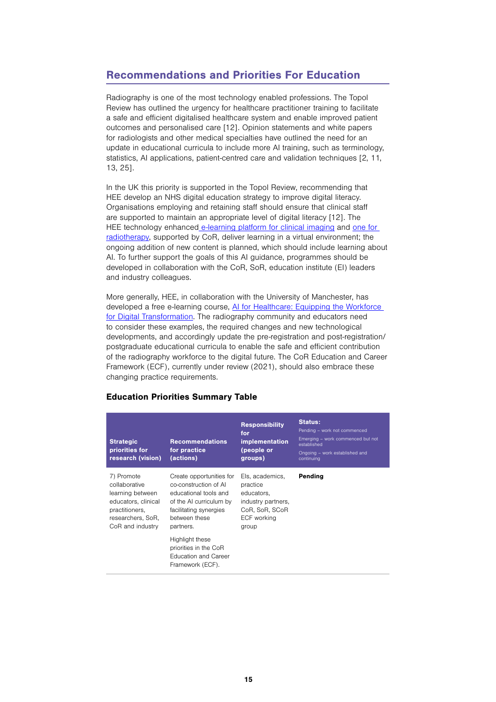# Recommendations and Priorities For Education

Radiography is one of the most technology enabled professions. The Topol Review has outlined the urgency for healthcare practitioner training to facilitate a safe and efficient digitalised healthcare system and enable improved patient outcomes and personalised care [12]. Opinion statements and white papers for radiologists and other medical specialties have outlined the need for an update in educational curricula to include more AI training, such as terminology, statistics, AI applications, patient-centred care and validation techniques [2, 11, 13, 25].

In the UK this priority is supported in the Topol Review, recommending that HEE develop an NHS digital education strategy to improve digital literacy. Organisations employing and retaining staff should ensure that clinical staff are supported to maintain an appropriate level of digital literacy [12]. The HEE technology enhanced [e-learning platform for clinical imaging](https://www.e-lfh.org.uk/programmes/clinical-imaging/) and [one for](https://www.e-lfh.org.uk/programmes/advanced-radiotherapy/)  [radiotherapy,](https://www.e-lfh.org.uk/programmes/advanced-radiotherapy/) supported by CoR, deliver learning in a virtual environment; the ongoing addition of new content is planned, which should include learning about AI. To further support the goals of this AI guidance, programmes should be developed in collaboration with the CoR, SoR, education institute (EI) leaders and industry colleagues.

More generally, HEE, in collaboration with the University of Manchester, has developed a free e-learning course, [AI for Healthcare: Equipping the Workforce](http://www.futurelearn.com/courses/artificial-intelligence-in-healthcare)  [for Digital Transformation.](http://www.futurelearn.com/courses/artificial-intelligence-in-healthcare) The radiography community and educators need to consider these examples, the required changes and new technological developments, and accordingly update the pre-registration and post-registration/ postgraduate educational curricula to enable the safe and efficient contribution of the radiography workforce to the digital future. The CoR Education and Career Framework (ECF), currently under review (2021), should also embrace these changing practice requirements.

## Education Priorities Summary Table

| <b>Strategic</b><br>priorities for<br>research (vision)                                                                           | <b>Recommendations</b><br>for practice<br>(actions)                                                                                                           | <b>Responsibility</b><br>for<br><i>implementation</i><br>(people or<br>groups)                            | <b>Status:</b><br>Pending - work not commenced<br>Emerging - work commenced but not<br>established<br>Ongoing - work established and<br>continuing |
|-----------------------------------------------------------------------------------------------------------------------------------|---------------------------------------------------------------------------------------------------------------------------------------------------------------|-----------------------------------------------------------------------------------------------------------|----------------------------------------------------------------------------------------------------------------------------------------------------|
| 7) Promote<br>collaborative<br>learning between<br>educators, clinical<br>practitioners,<br>researchers, SoR,<br>CoR and industry | Create opportunities for<br>co-construction of AI<br>educational tools and<br>of the AI curriculum by<br>facilitating synergies<br>between these<br>partners. | Els, academics,<br>practice<br>educators.<br>industry partners,<br>CoR, SoR, SCoR<br>ECF working<br>group | Pending                                                                                                                                            |
|                                                                                                                                   | Highlight these<br>priorities in the CoR<br><b>Education and Career</b><br>Framework (ECF).                                                                   |                                                                                                           |                                                                                                                                                    |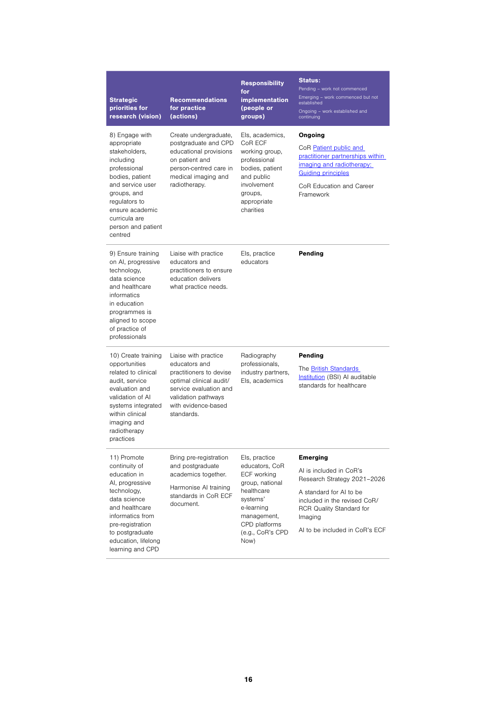| <b>Strategic</b><br>priorities for<br>research (vision)                                                                                                                                                                 | <b>Recommendations</b><br>for practice<br>(actions)                                                                                                                               | <b>Responsibility</b><br>for<br>implementation<br>(people or<br>groups)                                                                                               | <b>Status:</b><br>Pending - work not commenced<br>Emerging - work commenced but not<br>established<br>Ongoing - work established and<br>continuing                                                            |
|-------------------------------------------------------------------------------------------------------------------------------------------------------------------------------------------------------------------------|-----------------------------------------------------------------------------------------------------------------------------------------------------------------------------------|-----------------------------------------------------------------------------------------------------------------------------------------------------------------------|---------------------------------------------------------------------------------------------------------------------------------------------------------------------------------------------------------------|
| 8) Engage with<br>appropriate<br>stakeholders,<br>including<br>professional<br>bodies, patient<br>and service user<br>groups, and<br>regulators to<br>ensure academic<br>curricula are<br>person and patient<br>centred | Create undergraduate,<br>postgraduate and CPD<br>educational provisions<br>on patient and<br>person-centred care in<br>medical imaging and<br>radiotherapy.                       | Els, academics,<br>CoR ECF<br>working group,<br>professional<br>bodies, patient<br>and public<br>involvement<br>groups,<br>appropriate<br>charities                   | Ongoing<br>CoR Patient public and<br>practitioner partnerships within<br>imaging and radiotherapy:<br><b>Guiding principles</b><br>CoR Education and Career<br>Framework                                      |
| 9) Ensure training<br>on AI, progressive<br>technology,<br>data science<br>and healthcare<br>informatics<br>in education<br>programmes is<br>aligned to scope<br>of practice of<br>professionals                        | Liaise with practice<br>educators and<br>practitioners to ensure<br>education delivers<br>what practice needs.                                                                    | Els, practice<br>educators                                                                                                                                            | Pending                                                                                                                                                                                                       |
| 10) Create training<br>opportunities<br>related to clinical<br>audit, service<br>evaluation and<br>validation of Al<br>systems integrated<br>within clinical<br>imaging and<br>radiotherapy<br>practices                | Liaise with practice<br>educators and<br>practitioners to devise<br>optimal clinical audit/<br>service evaluation and<br>validation pathways<br>with evidence-based<br>standards. | Radiography<br>professionals,<br>industry partners,<br>Els, academics                                                                                                 | Pending<br>The <b>British Standards</b><br>Institution (BSI) Al auditable<br>standards for healthcare                                                                                                         |
| 11) Promote<br>continuity of<br>education in<br>Al, progressive<br>technology,<br>data science<br>and healthcare<br>informatics from<br>pre-registration<br>to postgraduate<br>education, lifelong<br>learning and CPD  | Bring pre-registration<br>and postgraduate<br>academics together.<br>Harmonise AI training<br>standards in CoR ECF<br>document.                                                   | Els, practice<br>educators, CoR<br>ECF working<br>group, national<br>healthcare<br>systems'<br>e-learning<br>management,<br>CPD platforms<br>(e.g., CoR's CPD<br>Now) | <b>Emerging</b><br>AI is included in CoR's<br>Research Strategy 2021-2026<br>A standard for AI to be<br>included in the revised CoR/<br>RCR Quality Standard for<br>Imaging<br>AI to be included in CoR's ECF |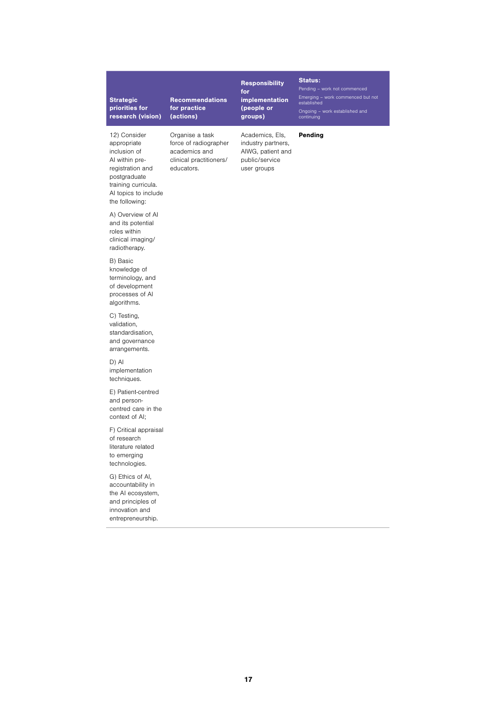## Strategic priorities for research (vision)

Recommendations for practice (actions)

Organise a task force of radiographer academics and clinical practitioners/

educators.

#### Responsibility for implementation (people or groups)

#### Status: Pending – work not commenced

Emerging – work commenced but not established

Pending

Ongoing – work established and continuing

12) Consider appropriate inclusion of AI within preregistration and postgraduate training curricula. AI topics to include the following:

A) Overview of AI and its potential roles within clinical imaging/ radiotherapy.

B) Basic knowledge of terminology, and of development processes of AI algorithms.

C) Testing, validation, standardisation, and governance arrangements.

D) AI implementation techniques.

E) Patient-centred and personcentred care in the context of AI;

F) Critical appraisal of research literature related to emerging technologies.

G) Ethics of AI, accountability in the AI ecosystem, and principles of innovation and entrepreneurship.

Academics, EIs, industry partners, AIWG, patient and public/service user groups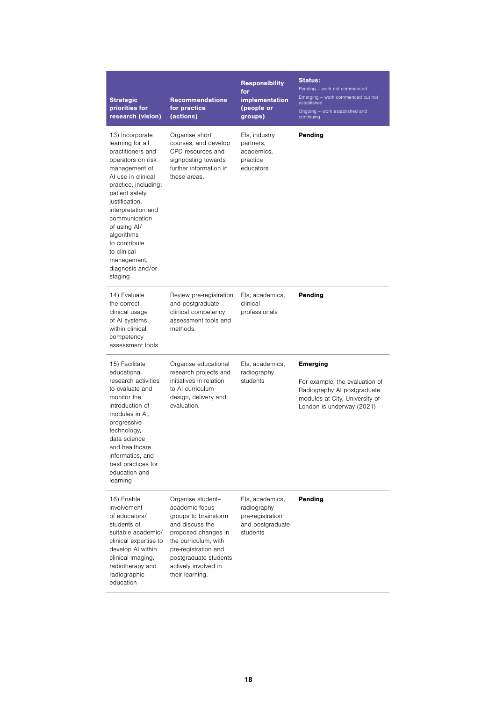| <b>Strategic</b><br>priorities for<br>research (vision)                                                                                                                                                                                                                                                                              | <b>Recommendations</b><br>for practice<br>(actions)                                                                                                                                                                       | <b>Responsibility</b><br>for<br>implementation<br>(people or<br>groups)            | <b>Status:</b><br>Pending - work not commenced<br>Emerging - work commenced but not<br>established<br>Ongoing - work established and<br>continuing |
|--------------------------------------------------------------------------------------------------------------------------------------------------------------------------------------------------------------------------------------------------------------------------------------------------------------------------------------|---------------------------------------------------------------------------------------------------------------------------------------------------------------------------------------------------------------------------|------------------------------------------------------------------------------------|----------------------------------------------------------------------------------------------------------------------------------------------------|
| 13) Incorporate<br>learning for all<br>practitioners and<br>operators on risk<br>management of<br>Al use in clinical<br>practice, including:<br>patient safety,<br>justification,<br>interpretation and<br>communication<br>of using Al/<br>algorithms<br>to contribute<br>to clinical<br>management,<br>diagnosis and/or<br>staging | Organise short<br>courses, and develop<br>CPD resources and<br>signposting towards<br>further information in<br>these areas.                                                                                              | Els, industry<br>partners,<br>academics,<br>practice<br>educators                  | Pending                                                                                                                                            |
| 14) Evaluate<br>the correct<br>clinical usage<br>of AI systems<br>within clinical<br>competency<br>assessment tools                                                                                                                                                                                                                  | Review pre-registration<br>and postgraduate<br>clinical competency<br>assessment tools and<br>methods.                                                                                                                    | Els, academics,<br>clinical<br>professionals                                       | Pending                                                                                                                                            |
| 15) Facilitate<br>educational<br>research activities<br>to evaluate and<br>monitor the<br>introduction of<br>modules in Al.<br>progressive<br>technology,<br>data science<br>and healthcare<br>informatics, and<br>best practices for<br>education and<br>learning                                                                   | Organise educational<br>research projects and<br>initiatives in relation<br>to AI curriculum<br>design, delivery and<br>evaluation.                                                                                       | Els, academics,<br>radiography<br>students                                         | <b>Emerging</b><br>For example, the evaluation of<br>Radiography AI postgraduate<br>modules at City, University of<br>London is underway (2021)    |
| 16) Enable<br>involvement<br>of educators/<br>students of<br>suitable academic/<br>clinical expertise to<br>develop AI within<br>clinical imaging,<br>radiotherapy and<br>radiographic<br>education                                                                                                                                  | Organise student-<br>academic focus<br>groups to brainstorm<br>and discuss the<br>proposed changes in<br>the curriculum, with<br>pre-registration and<br>postgraduate students<br>actively involved in<br>their learning. | Els, academics,<br>radiography<br>pre-registration<br>and postgraduate<br>students | Pending                                                                                                                                            |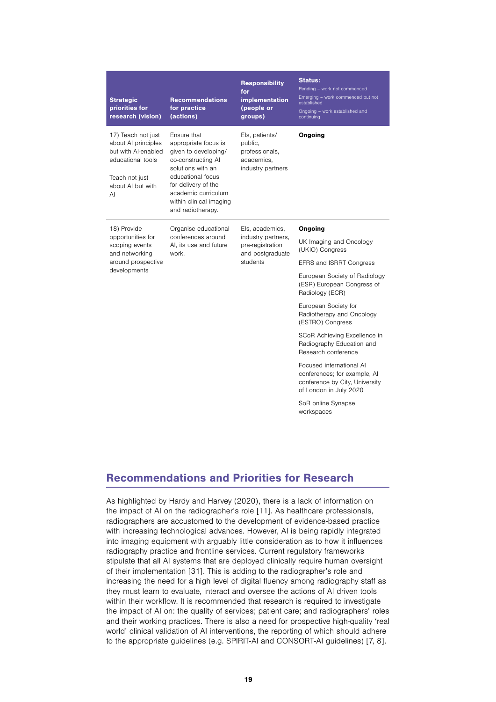| <b>Strategic</b><br>priorities for<br>research (vision)                                                                            | <b>Recommendations</b><br>for practice<br>(actions)                                                                                                                                                                       | <b>Responsibility</b><br>for<br>implementation<br>(people or<br>groups)                                              | <b>Status:</b><br>Pending - work not commenced<br>Emerging - work commenced but not<br>established<br>Ongoing - work established and<br>continuing |
|------------------------------------------------------------------------------------------------------------------------------------|---------------------------------------------------------------------------------------------------------------------------------------------------------------------------------------------------------------------------|----------------------------------------------------------------------------------------------------------------------|----------------------------------------------------------------------------------------------------------------------------------------------------|
| 17) Teach not just<br>about AI principles<br>but with Al-enabled<br>educational tools<br>Teach not just<br>about AI but with<br>AI | Ensure that<br>appropriate focus is<br>given to developing/<br>co-constructing AI<br>solutions with an<br>educational focus<br>for delivery of the<br>academic curriculum<br>within clinical imaging<br>and radiotherapy. | Els, patients/<br>public,<br>professionals,<br>academics,<br>industry partners                                       | Ongoing                                                                                                                                            |
| 18) Provide                                                                                                                        | Organise educational<br>conferences around<br>Al, its use and future<br>work.                                                                                                                                             | Els, academics,<br>industry partners,<br>pre-registration<br>and postgraduate<br>students                            | Ongoing                                                                                                                                            |
| opportunities for<br>scoping events<br>and networking                                                                              |                                                                                                                                                                                                                           |                                                                                                                      | UK Imaging and Oncology<br>(UKIO) Congress                                                                                                         |
| around prospective                                                                                                                 |                                                                                                                                                                                                                           |                                                                                                                      | EFRS and ISRRT Congress                                                                                                                            |
| developments                                                                                                                       |                                                                                                                                                                                                                           |                                                                                                                      | European Society of Radiology<br>(ESR) European Congress of<br>Radiology (ECR)                                                                     |
|                                                                                                                                    |                                                                                                                                                                                                                           |                                                                                                                      | European Society for<br>Radiotherapy and Oncology<br>(ESTRO) Congress                                                                              |
|                                                                                                                                    |                                                                                                                                                                                                                           |                                                                                                                      | SCoR Achieving Excellence in<br>Radiography Education and<br>Research conference                                                                   |
|                                                                                                                                    |                                                                                                                                                                                                                           | Focused international AI<br>conferences; for example, AI<br>conference by City, University<br>of London in July 2020 |                                                                                                                                                    |
|                                                                                                                                    |                                                                                                                                                                                                                           |                                                                                                                      | SoR online Synapse<br>workspaces                                                                                                                   |

# Recommendations and Priorities for Research

As highlighted by Hardy and Harvey (2020), there is a lack of information on the impact of AI on the radiographer's role [11]. As healthcare professionals, radiographers are accustomed to the development of evidence-based practice with increasing technological advances. However, AI is being rapidly integrated into imaging equipment with arguably little consideration as to how it influences radiography practice and frontline services. Current regulatory frameworks stipulate that all AI systems that are deployed clinically require human oversight of their implementation [31]. This is adding to the radiographer's role and increasing the need for a high level of digital fluency among radiography staff as they must learn to evaluate, interact and oversee the actions of AI driven tools within their workflow. It is recommended that research is required to investigate the impact of AI on: the quality of services; patient care; and radiographers' roles and their working practices. There is also a need for prospective high-quality 'real world' clinical validation of AI interventions, the reporting of which should adhere to the appropriate guidelines (e.g. SPIRIT-AI and CONSORT-AI guidelines) [7, 8].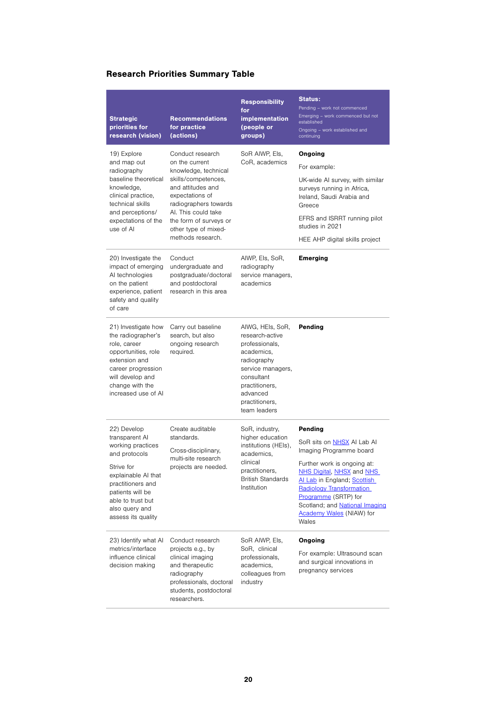# Research Priorities Summary Table

| <b>Strategic</b><br>priorities for<br>research (vision)                                                                                                                                                        | <b>Recommendations</b><br>for practice<br>(actions)                                                                                                                                                                                              | <b>Responsibility</b><br>for<br>implementation<br>(people or<br>groups)                                                                                                               | <b>Status:</b><br>Pending - work not commenced<br>Emerging - work commenced but not<br>established<br>Ongoing - work established and<br>continuing                                                                                                                                                          |
|----------------------------------------------------------------------------------------------------------------------------------------------------------------------------------------------------------------|--------------------------------------------------------------------------------------------------------------------------------------------------------------------------------------------------------------------------------------------------|---------------------------------------------------------------------------------------------------------------------------------------------------------------------------------------|-------------------------------------------------------------------------------------------------------------------------------------------------------------------------------------------------------------------------------------------------------------------------------------------------------------|
| 19) Explore<br>and map out<br>radiography<br>baseline theoretical<br>knowledge,<br>clinical practice,<br>technical skills<br>and perceptions/<br>expectations of the<br>use of Al                              | Conduct research<br>on the current<br>knowledge, technical<br>skills/competences,<br>and attitudes and<br>expectations of<br>radiographers towards<br>Al. This could take<br>the form of surveys or<br>other type of mixed-<br>methods research. | SoR AIWP, Els,<br>CoR, academics                                                                                                                                                      | Ongoing<br>For example:<br>UK-wide AI survey, with similar<br>surveys running in Africa,<br>Ireland, Saudi Arabia and<br>Greece<br>EFRS and ISRRT running pilot<br>studies in 2021<br>HEE AHP digital skills project                                                                                        |
| 20) Investigate the<br>impact of emerging<br>AI technologies<br>on the patient<br>experience, patient<br>safety and quality<br>of care                                                                         | Conduct<br>undergraduate and<br>postgraduate/doctoral<br>and postdoctoral<br>research in this area                                                                                                                                               | AIWP, Els, SoR,<br>radiography<br>service managers,<br>academics                                                                                                                      | <b>Emerging</b>                                                                                                                                                                                                                                                                                             |
| 21) Investigate how<br>the radiographer's<br>role, career<br>opportunities, role<br>extension and<br>career progression<br>will develop and<br>change with the<br>increased use of Al                          | Carry out baseline<br>search, but also<br>ongoing research<br>required.                                                                                                                                                                          | AIWG, HEIs, SoR,<br>research-active<br>professionals,<br>academics,<br>radiography<br>service managers,<br>consultant<br>practitioners,<br>advanced<br>practitioners,<br>team leaders | Pending                                                                                                                                                                                                                                                                                                     |
| 22) Develop<br>transparent Al<br>working practices<br>and protocols<br>Strive for<br>explainable AI that<br>practitioners and<br>patients will be<br>able to trust but<br>also query and<br>assess its quality | Create auditable<br>standards.<br>Cross-disciplinary,<br>multi-site research<br>projects are needed.                                                                                                                                             | SoR, industry,<br>higher education<br>institutions (HEIs),<br>academics,<br>clinical<br>practitioners,<br><b>British Standards</b><br>Institution                                     | Pending<br>SoR sits on NHSX AI Lab AI<br>Imaging Programme board<br>Further work is ongoing at:<br>NHS Digital, NHSX and NHS<br>Al Lab in England; Scottish<br><b>Radiology Transformation</b><br>Programme (SRTP) for<br>Scotland; and <b>National Imaging</b><br><b>Academy Wales</b> (NIAW) for<br>Wales |
| 23) Identify what AI<br>metrics/interface<br>influence clinical<br>decision making                                                                                                                             | Conduct research<br>projects e.g., by<br>clinical imaging<br>and therapeutic<br>radiography<br>professionals, doctoral<br>students, postdoctoral<br>researchers.                                                                                 | SoR AIWP, Els,<br>SoR, clinical<br>professionals,<br>academics,<br>colleagues from<br>industry                                                                                        | Ongoing<br>For example: Ultrasound scan<br>and surgical innovations in<br>pregnancy services                                                                                                                                                                                                                |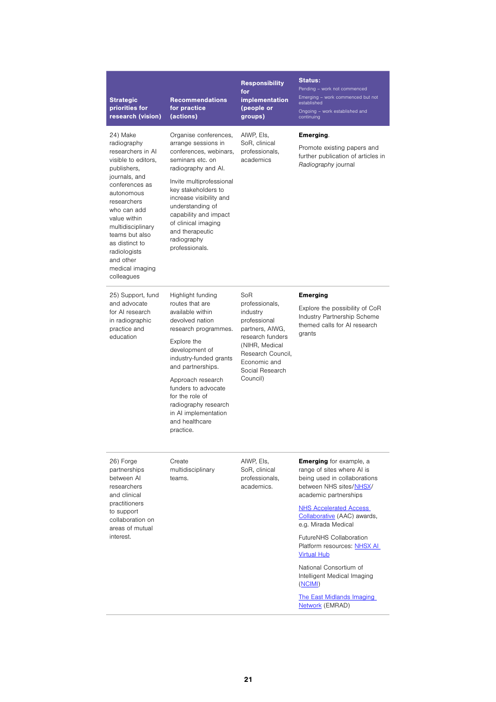| <b>Strategic</b><br>priorities for<br>research (vision)                                                                                                                                                                                                                                                  | Recommendations<br>for practice<br>(actions)                                                                                                                                                                                                                                                                                      | <b>Responsibility</b><br>for<br><i>implementation</i><br>(people or<br>groups)                                                                                                 | <b>Status:</b><br>Pending - work not commenced<br>Emerging - work commenced but not<br>established<br>Ongoing - work established and<br>continuing                                                                                                                                                                                                                                                                                                 |
|----------------------------------------------------------------------------------------------------------------------------------------------------------------------------------------------------------------------------------------------------------------------------------------------------------|-----------------------------------------------------------------------------------------------------------------------------------------------------------------------------------------------------------------------------------------------------------------------------------------------------------------------------------|--------------------------------------------------------------------------------------------------------------------------------------------------------------------------------|----------------------------------------------------------------------------------------------------------------------------------------------------------------------------------------------------------------------------------------------------------------------------------------------------------------------------------------------------------------------------------------------------------------------------------------------------|
| 24) Make<br>radiography<br>researchers in Al<br>visible to editors,<br>publishers,<br>journals, and<br>conferences as<br>autonomous<br>researchers<br>who can add<br>value within<br>multidisciplinary<br>teams but also<br>as distinct to<br>radiologists<br>and other<br>medical imaging<br>colleagues | Organise conferences,<br>arrange sessions in<br>conferences, webinars,<br>seminars etc. on<br>radiography and Al.<br>Invite multiprofessional<br>key stakeholders to<br>increase visibility and<br>understanding of<br>capability and impact<br>of clinical imaging<br>and therapeutic<br>radiography<br>professionals.           | AIWP, Els,<br>SoR, clinical<br>professionals,<br>academics                                                                                                                     | Emerging.<br>Promote existing papers and<br>further publication of articles in<br>Radiography journal                                                                                                                                                                                                                                                                                                                                              |
| 25) Support, fund<br>and advocate<br>for AI research<br>in radiographic<br>practice and<br>education                                                                                                                                                                                                     | Highlight funding<br>routes that are<br>available within<br>devolved nation<br>research programmes.<br>Explore the<br>development of<br>industry-funded grants<br>and partnerships.<br>Approach research<br>funders to advocate<br>for the role of<br>radiography research<br>in AI implementation<br>and healthcare<br>practice. | SoR<br>professionals,<br>industry<br>professional<br>partners, AIWG,<br>research funders<br>(NIHR, Medical<br>Research Council,<br>Economic and<br>Social Research<br>Council) | <b>Emerging</b><br>Explore the possibility of CoR<br>Industry Partnership Scheme<br>themed calls for AI research<br>grants                                                                                                                                                                                                                                                                                                                         |
| 26) Forge<br>partnerships<br>between Al<br>researchers<br>and clinical<br>practitioners<br>to support<br>collaboration on<br>areas of mutual<br>interest.                                                                                                                                                | Create<br>multidisciplinary<br>teams.                                                                                                                                                                                                                                                                                             | AIWP, Els,<br>SoR, clinical<br>professionals,<br>academics.                                                                                                                    | <b>Emerging</b> for example, a<br>range of sites where AI is<br>being used in collaborations<br>between NHS sites/NHSX/<br>academic partnerships<br><b>NHS Accelerated Access</b><br>Collaborative (AAC) awards,<br>e.g. Mirada Medical<br>FutureNHS Collaboration<br>Platform resources: NHSX AL<br><b>Virtual Hub</b><br>National Consortium of<br>Intelligent Medical Imaging<br>(NCIMI)<br><b>The East Midlands Imaging</b><br>Network (EMRAD) |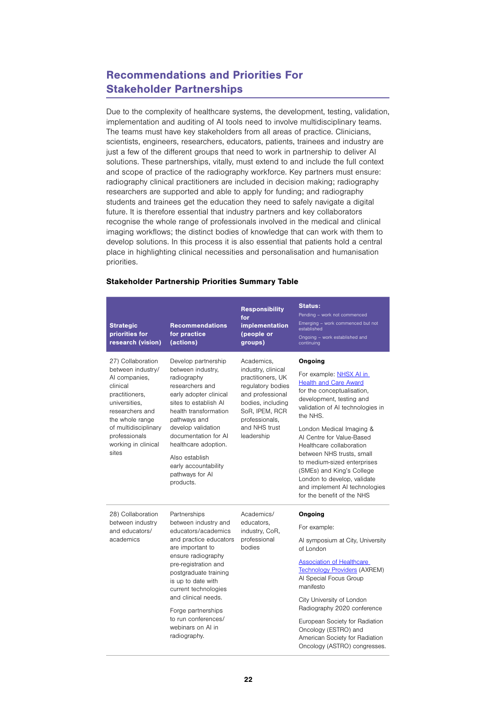# Recommendations and Priorities For Stakeholder Partnerships

Due to the complexity of healthcare systems, the development, testing, validation, implementation and auditing of AI tools need to involve multidisciplinary teams. The teams must have key stakeholders from all areas of practice. Clinicians, scientists, engineers, researchers, educators, patients, trainees and industry are just a few of the different groups that need to work in partnership to deliver AI solutions. These partnerships, vitally, must extend to and include the full context and scope of practice of the radiography workforce. Key partners must ensure: radiography clinical practitioners are included in decision making; radiography researchers are supported and able to apply for funding; and radiography students and trainees get the education they need to safely navigate a digital future. It is therefore essential that industry partners and key collaborators recognise the whole range of professionals involved in the medical and clinical imaging workflows; the distinct bodies of knowledge that can work with them to develop solutions. In this process it is also essential that patients hold a central place in highlighting clinical necessities and personalisation and humanisation priorities.

| <b>Strategic</b><br>priorities for<br>research (vision)                                                                                                                                                                                                                                                                                                              | <b>Recommendations</b><br>for practice<br>(actions)                                                                                                                                                                                                                                                                                     | <b>Responsibility</b><br>for<br><b>implementation</b><br>(people or<br>groups)                                                                                                                           | <b>Status:</b><br>Pending - work not commenced<br>Emerging - work commenced but not<br>established<br>Ongoing - work established and<br>continuing                                                                                                                                                                                                                          |
|----------------------------------------------------------------------------------------------------------------------------------------------------------------------------------------------------------------------------------------------------------------------------------------------------------------------------------------------------------------------|-----------------------------------------------------------------------------------------------------------------------------------------------------------------------------------------------------------------------------------------------------------------------------------------------------------------------------------------|----------------------------------------------------------------------------------------------------------------------------------------------------------------------------------------------------------|-----------------------------------------------------------------------------------------------------------------------------------------------------------------------------------------------------------------------------------------------------------------------------------------------------------------------------------------------------------------------------|
| 27) Collaboration<br>Develop partnership<br>between industry/<br>between industry,<br>AI companies,<br>radiography<br>clinical<br>researchers and<br>practitioners,<br>early adopter clinical<br>sites to establish Al<br>universities,<br>researchers and<br>health transformation<br>the whole range<br>pathways and<br>of multidisciplinary<br>develop validation | Academics,<br>industry, clinical<br>practitioners, UK<br>regulatory bodies<br>and professional<br>bodies, including<br>SoR, IPEM, RCR<br>professionals,<br>and NHS trust                                                                                                                                                                | Ongoing<br>For example: NHSX AI in<br><b>Health and Care Award</b><br>for the conceptualisation,<br>development, testing and<br>validation of AI technologies in<br>the NHS.<br>London Medical Imaging & |                                                                                                                                                                                                                                                                                                                                                                             |
| professionals<br>working in clinical<br>sites                                                                                                                                                                                                                                                                                                                        | documentation for AI<br>healthcare adoption.<br>Also establish<br>early accountability<br>pathways for Al<br>products.                                                                                                                                                                                                                  | leadership                                                                                                                                                                                               | AI Centre for Value-Based<br>Healthcare collaboration<br>between NHS trusts, small<br>to medium-sized enterprises<br>(SMEs) and King's College<br>London to develop, validate<br>and implement AI technologies<br>for the benefit of the NHS                                                                                                                                |
| 28) Collaboration<br>between industry<br>and educators/<br>academics                                                                                                                                                                                                                                                                                                 | Partnerships<br>between industry and<br>educators/academics<br>and practice educators<br>are important to<br>ensure radiography<br>pre-registration and<br>postgraduate training<br>is up to date with<br>current technologies<br>and clinical needs.<br>Forge partnerships<br>to run conferences/<br>webinars on AI in<br>radiography. | Academics/<br>educators.<br>industry, CoR,<br>professional<br>bodies                                                                                                                                     | Ongoing<br>For example:<br>Al symposium at City, University<br>of London<br><b>Association of Healthcare</b><br>Technology Providers (AXREM)<br>Al Special Focus Group<br>manifesto<br>City University of London<br>Radiography 2020 conference<br>European Society for Radiation<br>Oncology (ESTRO) and<br>American Society for Radiation<br>Oncology (ASTRO) congresses. |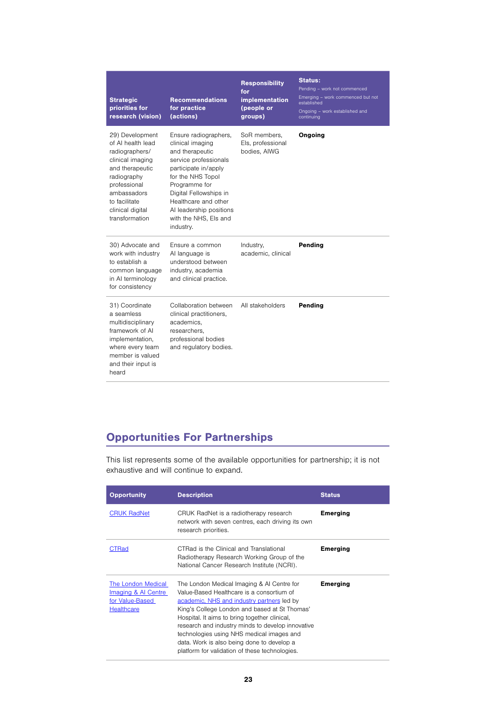| <b>Strategic</b><br>priorities for<br>research (vision)                                                                                                                                            | <b>Recommendations</b><br>for practice<br>(actions)                                                                                                                                                                                                                    | <b>Responsibility</b><br>for<br><b>implementation</b><br>(people or<br>groups) | <b>Status:</b><br>Pending - work not commenced<br>Emerging - work commenced but not<br>established<br>Ongoing - work established and<br>continuing |
|----------------------------------------------------------------------------------------------------------------------------------------------------------------------------------------------------|------------------------------------------------------------------------------------------------------------------------------------------------------------------------------------------------------------------------------------------------------------------------|--------------------------------------------------------------------------------|----------------------------------------------------------------------------------------------------------------------------------------------------|
| 29) Development<br>of AI health lead<br>radiographers/<br>clinical imaging<br>and therapeutic<br>radiography<br>professional<br>ambassadors<br>to facilitate<br>clinical digital<br>transformation | Ensure radiographers,<br>clinical imaging<br>and therapeutic<br>service professionals<br>participate in/apply<br>for the NHS Topol<br>Programme for<br>Digital Fellowships in<br>Healthcare and other<br>Al leadership positions<br>with the NHS, Els and<br>industry. | SoR members,<br>Els, professional<br>bodies, AIWG                              | Ongoing                                                                                                                                            |
| 30) Advocate and<br>work with industry<br>to establish a<br>common language<br>in AI terminology<br>for consistency                                                                                | Ensure a common<br>Al language is<br>understood between<br>industry, academia<br>and clinical practice.                                                                                                                                                                | Industry,<br>academic, clinical                                                | Pending                                                                                                                                            |
| 31) Coordinate<br>a seamless<br>multidisciplinary<br>framework of AI<br>implementation,<br>where every team<br>member is valued<br>and their input is<br>heard                                     | Collaboration between<br>clinical practitioners,<br>academics,<br>researchers,<br>professional bodies<br>and regulatory bodies.                                                                                                                                        | All stakeholders                                                               | Pending                                                                                                                                            |

# Opportunities For Partnerships

This list represents some of the available opportunities for partnership; it is not exhaustive and will continue to expand.

| <b>Opportunity</b>                                                                | <b>Description</b>                                                                                                                                                                                                                                                                                                                                                                                                                        | <b>Status</b>   |
|-----------------------------------------------------------------------------------|-------------------------------------------------------------------------------------------------------------------------------------------------------------------------------------------------------------------------------------------------------------------------------------------------------------------------------------------------------------------------------------------------------------------------------------------|-----------------|
| <b>CRUK RadNet</b>                                                                | CRUK RadNet is a radiotherapy research<br>network with seven centres, each driving its own<br>research priorities.                                                                                                                                                                                                                                                                                                                        | <b>Emerging</b> |
| CTRad                                                                             | CTRad is the Clinical and Translational<br>Radiotherapy Research Working Group of the<br>National Cancer Research Institute (NCRI).                                                                                                                                                                                                                                                                                                       | Emerging        |
| The London Medical<br>Imaging & AI Centre<br>for Value-Based<br><b>Healthcare</b> | The London Medical Imaging & AI Centre for<br>Value-Based Healthcare is a consortium of<br>academic, NHS and industry partners led by<br>King's College London and based at St Thomas'<br>Hospital. It aims to bring together clinical,<br>research and industry minds to develop innovative<br>technologies using NHS medical images and<br>data. Work is also being done to develop a<br>platform for validation of these technologies. | <b>Emerging</b> |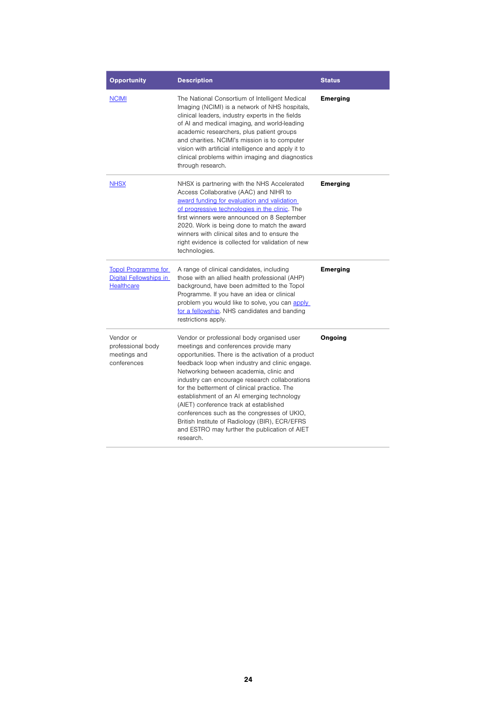| <b>Opportunity</b>                                                        | <b>Description</b>                                                                                                                                                                                                                                                                                                                                                                                                                                                                                                                                                                               | <b>Status</b>   |
|---------------------------------------------------------------------------|--------------------------------------------------------------------------------------------------------------------------------------------------------------------------------------------------------------------------------------------------------------------------------------------------------------------------------------------------------------------------------------------------------------------------------------------------------------------------------------------------------------------------------------------------------------------------------------------------|-----------------|
| <b>NCIMI</b>                                                              | The National Consortium of Intelligent Medical<br>Imaging (NCIMI) is a network of NHS hospitals,<br>clinical leaders, industry experts in the fields<br>of AI and medical imaging, and world-leading<br>academic researchers, plus patient groups<br>and charities. NCIMI's mission is to computer<br>vision with artificial intelligence and apply it to<br>clinical problems within imaging and diagnostics<br>through research.                                                                                                                                                               | <b>Emerging</b> |
| <b>NHSX</b>                                                               | NHSX is partnering with the NHS Accelerated<br>Access Collaborative (AAC) and NIHR to<br>award funding for evaluation and validation<br>of progressive technologies in the clinic. The<br>first winners were announced on 8 September<br>2020. Work is being done to match the award<br>winners with clinical sites and to ensure the<br>right evidence is collected for validation of new<br>technologies.                                                                                                                                                                                      | <b>Emerging</b> |
| <b>Topol Programme for</b><br>Digital Fellowships in<br><b>Healthcare</b> | A range of clinical candidates, including<br>those with an allied health professional (AHP)<br>background, have been admitted to the Topol<br>Programme. If you have an idea or clinical<br>problem you would like to solve, you can apply<br>for a fellowship. NHS candidates and banding<br>restrictions apply.                                                                                                                                                                                                                                                                                | <b>Emerging</b> |
| Vendor or<br>professional body<br>meetings and<br>conferences             | Vendor or professional body organised user<br>meetings and conferences provide many<br>opportunities. There is the activation of a product<br>feedback loop when industry and clinic engage.<br>Networking between academia, clinic and<br>industry can encourage research collaborations<br>for the betterment of clinical practice. The<br>establishment of an AI emerging technology<br>(AIET) conference track at established<br>conferences such as the congresses of UKIO,<br>British Institute of Radiology (BIR), ECR/EFRS<br>and ESTRO may further the publication of AIET<br>research. | Ongoing         |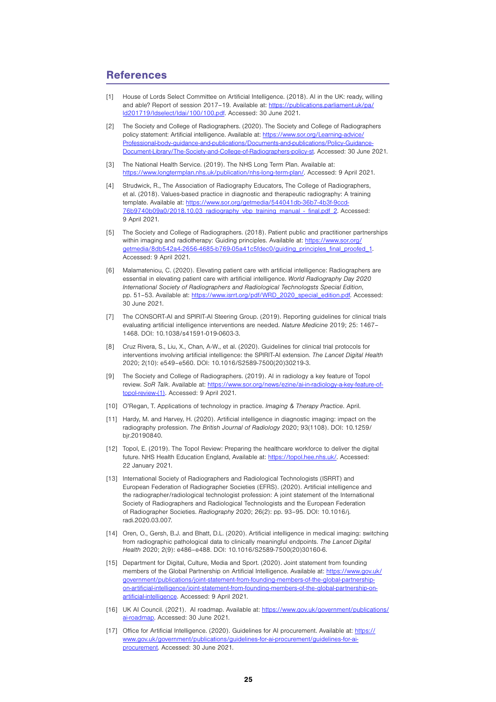## **References**

- [1] House of Lords Select Committee on Artificial Intelligence. (2018). AI in the UK: ready, willing and able? Report of session 2017-19. Available at: [https://publications.parliament.uk/pa/](https://topol.hee.nhs.uk/digital-fellowships/application-guidance/) [ld201719/ldselect/ldai/100/100.pdf.](https://topol.hee.nhs.uk/digital-fellowships/application-guidance/) Accessed: 30 June 2021.
- [2] The Society and College of Radiographers. (2020). The Society and College of Radiographers policy statement: Artificial intelligence. Available at: [https://www.sor.org/Learning-advice/](https://www.sor.org/Learning-advice/Professional-body-guidance-and-publications/Documents-and-publications/Policy-Guidance-Document-Library/The-Society-and-College-of-Radiographers-policy-st) [Professional-body-guidance-and-publications/Documents-and-publications/Policy-Guidance-](https://www.sor.org/Learning-advice/Professional-body-guidance-and-publications/Documents-and-publications/Policy-Guidance-Document-Library/The-Society-and-College-of-Radiographers-policy-st)[Document-Library/The-Society-and-College-of-Radiographers-policy-st.](https://www.sor.org/Learning-advice/Professional-body-guidance-and-publications/Documents-and-publications/Policy-Guidance-Document-Library/The-Society-and-College-of-Radiographers-policy-st) Accessed: 30 June 2021.
- [3] The National Health Service. (2019). The NHS Long Term Plan. Available at: [https://www.longtermplan.nhs.uk/publication/nhs-long-term-plan/.](https://www.longtermplan.nhs.uk/publication/nhs-long-term-plan/) Accessed: 9 April 2021.
- [4] Strudwick, R., The Association of Radiography Educators, The College of Radiographers, et al. (2018). Values-based practice in diagnostic and therapeutic radiography: A training template. Available at: [https://www.sor.org/getmedia/544041db-36b7-4b3f-9ccd-](https://www.sor.org/getmedia/544041db-36b7-4b3f-9ccd-76b9740b09a0/2018.10.03_radiography_vbp_training_manual_-_final.pdf_2)[76b9740b09a0/2018.10.03\\_radiography\\_vbp\\_training\\_manual\\_-\\_final.pdf\\_2.](https://www.sor.org/getmedia/544041db-36b7-4b3f-9ccd-76b9740b09a0/2018.10.03_radiography_vbp_training_manual_-_final.pdf_2) Accessed: 9 April 2021.
- [5] The Society and College of Radiographers. (2018). Patient public and practitioner partnerships within imaging and radiotherapy: Guiding principles. Available at: [https://www.sor.org/](https://www.sor.org/getmedia/8db542a4-2656-4685-b769-05a41c5fdec0/guiding_principles_final_proofed_1) [getmedia/8db542a4-2656-4685-b769-05a41c5fdec0/guiding\\_principles\\_final\\_proofed\\_1.](https://www.sor.org/getmedia/8db542a4-2656-4685-b769-05a41c5fdec0/guiding_principles_final_proofed_1) Accessed: 9 April 2021.
- [6] Malamateniou, C. (2020). Elevating patient care with artificial intelligence: Radiographers are essential in elevating patient care with artificial intelligence. World Radiography Day 2020 International Society of Radiographers and Radiological Technologsts Special Edition, pp. 51–53. Available at: [https://www.isrrt.org/pdf/WRD\\_2020\\_special\\_edition.pdf](https://www.isrrt.org/pdf/WRD_2020_special_edition.pdf). Accessed: 30 June 2021.
- [7] The CONSORT-AI and SPIRIT-AI Steering Group. (2019). Reporting guidelines for clinical trials evaluating artificial intelligence interventions are needed. Nature Medicine 2019; 25: 1467– 1468. DOI: 10.1038/s41591-019-0603-3.
- [8] Cruz Rivera, S., Liu, X., Chan, A-W., et al. (2020). Guidelines for clinical trial protocols for interventions involving artificial intelligence: the SPIRIT-AI extension. The Lancet Digital Health 2020; 2(10): e549–e560. DOI: 10.1016/S2589-7500(20)30219-3.
- [9] The Society and College of Radiographers. (2019). AI in radiology a key feature of Topol review. SoR Talk. Available at: [https://www.sor.org/news/ezine/ai-in-radiology-a-key-feature-of](https://www.sor.org/news/ezine/ai-in-radiology-a-key-feature-of-topol-review-(1))[topol-review-\(1\)](https://www.sor.org/news/ezine/ai-in-radiology-a-key-feature-of-topol-review-(1)). Accessed: 9 April 2021.
- [10] O'Regan, T. Applications of technology in practice. Imaging & Therapy Practice. April.
- [11] Hardy, M. and Harvey, H. (2020). Artificial intelligence in diagnostic imaging: impact on the radiography profession. The British Journal of Radiology 2020; 93(1108). DOI: 10.1259/ bjr.20190840.
- [12] Topol, E. (2019). The Topol Review: Preparing the healthcare workforce to deliver the digital future. NHS Health Education England, Available at: <https://topol.hee.nhs.uk/>. Accessed: 22 January 2021.
- [13] International Society of Radiographers and Radiological Technologists (ISRRT) and European Federation of Radiographer Societies (EFRS). (2020). Artificial intelligence and the radiographer/radiological technologist profession: A joint statement of the International Society of Radiographers and Radiological Technologists and the European Federation of Radiographer Societies. Radiography 2020; 26(2): pp. 93–95. DOI: 10.1016/j. radi.2020.03.007.
- [14] Oren, O., Gersh, B.J. and Bhatt, D.L. (2020). Artificial intelligence in medical imaging: switching from radiographic pathological data to clinically meaningful endpoints. The Lancet Digital Health 2020; 2(9): e486–e488. DOI: 10.1016/S2589-7500(20)30160-6.
- [15] Department for Digital, Culture, Media and Sport. (2020). Joint statement from founding members of the Global Partnership on Artificial Intelligence. Available at: [https://www.gov.uk/](https://www.gov.uk/government/publications/joint-statement-from-founding-members-of-the-global-partnership-on-artificial-intelligence/joint-statement-from-founding-members-of-the-global-partnership-on-artificial-intelligence) [government/publications/joint-statement-from-founding-members-of-the-global-partnership](https://www.gov.uk/government/publications/joint-statement-from-founding-members-of-the-global-partnership-on-artificial-intelligence/joint-statement-from-founding-members-of-the-global-partnership-on-artificial-intelligence)[on-artificial-intelligence/joint-statement-from-founding-members-of-the-global-partnership-on](https://www.gov.uk/government/publications/joint-statement-from-founding-members-of-the-global-partnership-on-artificial-intelligence/joint-statement-from-founding-members-of-the-global-partnership-on-artificial-intelligence)[artificial-intelligence](https://www.gov.uk/government/publications/joint-statement-from-founding-members-of-the-global-partnership-on-artificial-intelligence/joint-statement-from-founding-members-of-the-global-partnership-on-artificial-intelligence). Accessed: 9 April 2021.
- [16] UK AI Council. (2021). AI roadmap. Available at: https://www.gov.uk/government/publications/ ai-roadmap. Accessed: 30 June 2021.
- [17] Office for Artificial Intelligence. (2020). Guidelines for AI procurement. Available at: [https://](https://www.gov.uk/government/publications/guidelines-for-ai-procurement/guidelines-for-ai-procurement) [www.gov.uk/government/publications/guidelines-for-ai-procurement/guidelines-for-ai](https://www.gov.uk/government/publications/guidelines-for-ai-procurement/guidelines-for-ai-procurement)[procurement.](https://www.gov.uk/government/publications/guidelines-for-ai-procurement/guidelines-for-ai-procurement) Accessed: 30 June 2021.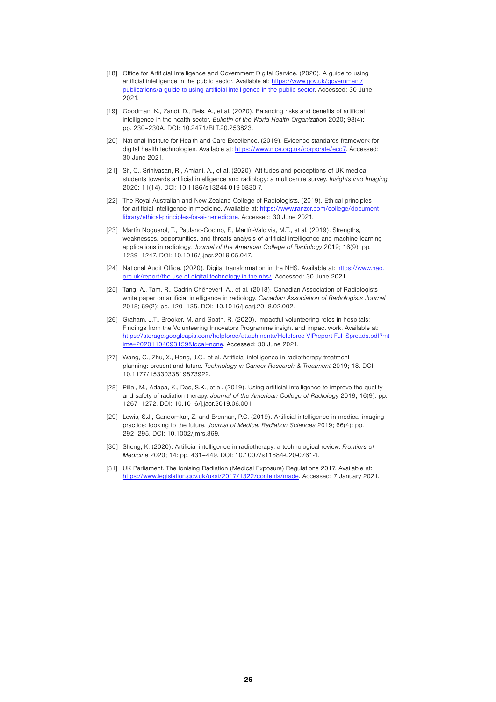- [18] Office for Artificial Intelligence and Government Digital Service. (2020). A guide to using artificial intelligence in the public sector. Available at: [https://www.gov.uk/government/](https://www.gov.uk/government/publications/a-guide-to-using-artificial-intelligence-in-the-public-sector) [publications/a-guide-to-using-artificial-intelligence-in-the-public-sector.](https://www.gov.uk/government/publications/a-guide-to-using-artificial-intelligence-in-the-public-sector) Accessed: 30 June 2021.
- [19] Goodman, K., Zandi, D., Reis, A., et al. (2020). Balancing risks and benefits of artificial intelligence in the health sector. Bulletin of the World Health Organization 2020; 98(4): pp. 230–230A. DOI: 10.2471/BLT.20.253823.
- [20] National Institute for Health and Care Excellence. (2019). Evidence standards framework for digital health technologies. Available at:<https://www.nice.org.uk/corporate/ecd7>. Accessed: 30 June 2021.
- [21] Sit, C., Srinivasan, R., Amlani, A., et al. (2020). Attitudes and perceptions of UK medical students towards artificial intelligence and radiology: a multicentre survey. Insights into Imaging 2020; 11(14). DOI: 10.1186/s13244-019-0830-7.
- [22] The Royal Australian and New Zealand College of Radiologists. (2019). Ethical principles for artificial intelligence in medicine. Available at: [https://www.ranzcr.com/college/document](https://www.ranzcr.com/college/document-library/ethical-principles-for-ai-in-medicine)[library/ethical-principles-for-ai-in-medicine.](https://www.ranzcr.com/college/document-library/ethical-principles-for-ai-in-medicine) Accessed: 30 June 2021.
- [23] Martín Noguerol, T., Paulano-Godino, F., Martín-Valdivia, M.T., et al. (2019). Strengths, weaknesses, opportunities, and threats analysis of artificial intelligence and machine learning applications in radiology. Journal of the American College of Radiology 2019; 16(9): pp. 1239–1247. DOI: 10.1016/j.jacr.2019.05.047.
- [24] National Audit Office. (2020). Digital transformation in the NHS. Available at: [https://www.nao.](https://www.nao.org.uk/report/the-use-of-digital-technology-in-the-nhs/) [org.uk/report/the-use-of-digital-technology-in-the-nhs/.](https://www.nao.org.uk/report/the-use-of-digital-technology-in-the-nhs/) Accessed: 30 June 2021.
- [25] Tang, A., Tam, R., Cadrin-Chênevert, A., et al. (2018). Canadian Association of Radiologists white paper on artificial intelligence in radiology. Canadian Association of Radiologists Journal 2018; 69(2): pp. 120–135. DOI: 10.1016/j.carj.2018.02.002.
- [26] Graham, J.T., Brooker, M. and Spath, R. (2020). Impactful volunteering roles in hospitals: Findings from the Volunteering Innovators Programme insight and impact work. Available at: [https://storage.googleapis.com/helpforce/attachments/Helpforce-VIPreport-Full-Spreads.pdf?mt](https://storage.googleapis.com/helpforce/attachments/Helpforce-VIPreport-Full-Spreads.pdf?mtime=20201104093159&focal=none) [ime=20201104093159&focal=none.](https://storage.googleapis.com/helpforce/attachments/Helpforce-VIPreport-Full-Spreads.pdf?mtime=20201104093159&focal=none) Accessed: 30 June 2021.
- [27] Wang, C., Zhu, X., Hong, J.C., et al. Artificial intelligence in radiotherapy treatment planning: present and future. Technology in Cancer Research & Treatment 2019; 18. DOI: 10.1177/1533033819873922.
- [28] Pillai, M., Adapa, K., Das, S.K., et al. (2019). Using artificial intelligence to improve the quality and safety of radiation therapy. Journal of the American College of Radiology 2019; 16(9): pp. 1267–1272. DOI: 10.1016/j.jacr.2019.06.001.
- [29] Lewis, S.J., Gandomkar, Z. and Brennan, P.C. (2019). Artificial intelligence in medical imaging practice: looking to the future. Journal of Medical Radiation Sciences 2019; 66(4): pp. 292–295. DOI: 10.1002/jmrs.369.
- [30] Sheng, K. (2020). Artificial intelligence in radiotherapy: a technological review. Frontiers of Medicine 2020; 14: pp. 431–449. DOI: 10.1007/s11684-020-0761-1.
- [31] UK Parliament. The Ionising Radiation (Medical Exposure) Regulations 2017. Available at: [https://www.legislation.gov.uk/uksi/2017/1322/contents/made.](https://www.legislation.gov.uk/uksi/2017/1322/contents/made) Accessed: 7 January 2021.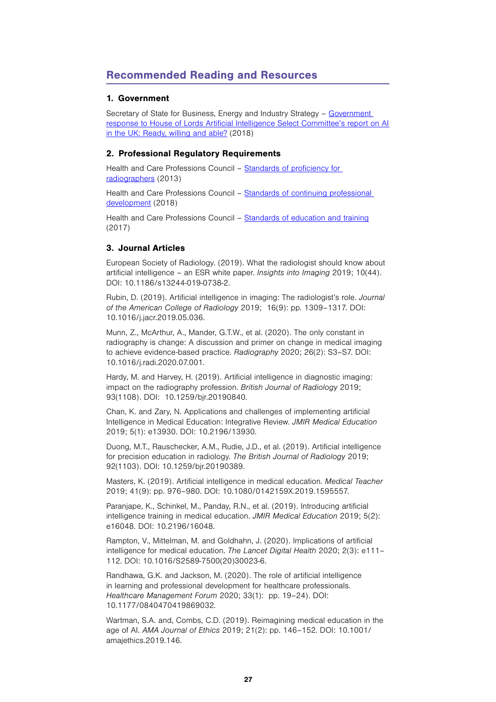# Recommended Reading and Resources

## 1. Government

Secretary of State for Business, Energy and Industry Strategy - Government [response to House of Lords Artificial Intelligence Select Committee's report on AI](https://www.parliament.uk/globalassets/documents/lords-committees/Artificial-Intelligence/AI-Government-Response2.pdf)  [in the UK: Ready, willing and able?](https://www.parliament.uk/globalassets/documents/lords-committees/Artificial-Intelligence/AI-Government-Response2.pdf) (2018)

## 2. Professional Regulatory Requirements

Health and Care Professions Council – [Standards of proficiency for](https://www.hcpc-uk.org/standards/standards-of-proficiency/radiographers/)  [radiographers](https://www.hcpc-uk.org/standards/standards-of-proficiency/radiographers/) (2013)

Health and Care Professions Council – Standards of continuing professional [development](https://www.hcpc-uk.org/standards/standards-of-continuing-professional-development/) (2018)

Health and Care Professions Council – [Standards of education and training](https://www.hcpc-uk.org/standards/standards-relevant-to-education-and-training/set/) (2017)

## 3. Journal Articles

European Society of Radiology. (2019). What the radiologist should know about artificial intelligence – an ESR white paper. Insights into Imaging 2019; 10(44). DOI: 10.1186/s13244-019-0738-2.

Rubin, D. (2019). Artificial intelligence in imaging: The radiologist's role. Journal of the American College of Radiology 2019; 16(9): pp. 1309–1317. DOI: 10.1016/j.jacr.2019.05.036.

Munn, Z., McArthur, A., Mander, G.T.W., et al. (2020). The only constant in radiography is change: A discussion and primer on change in medical imaging to achieve evidence-based practice. Radiography 2020; 26(2): S3–S7. DOI: 10.1016/j.radi.2020.07.001.

Hardy, M. and Harvey, H. (2019). Artificial intelligence in diagnostic imaging: impact on the radiography profession. British Journal of Radiology 2019; 93(1108). DOI: 10.1259/bjr.20190840.

Chan, K. and Zary, N. Applications and challenges of implementing artificial Intelligence in Medical Education: Integrative Review. JMIR Medical Education 2019; 5(1): e13930. DOI: 10.2196/13930.

Duong, M.T., Rauschecker, A.M., Rudie, J.D., et al. (2019). Artificial intelligence for precision education in radiology. The British Journal of Radiology 2019; 92(1103). DOI: 10.1259/bjr.20190389.

Masters, K. (2019). Artificial intelligence in medical education. Medical Teacher 2019; 41(9): pp. 976–980. DOI: 10.1080/0142159X.2019.1595557.

Paranjape, K., Schinkel, M., Panday, R.N., et al. (2019). Introducing artificial intelligence training in medical education. JMIR Medical Education 2019; 5(2): e16048. DOI: 10.2196/16048.

Rampton, V., Mittelman, M. and Goldhahn, J. (2020). Implications of artificial intelligence for medical education. The Lancet Digital Health 2020; 2(3): e111– 112. DOI: 10.1016/S2589-7500(20)30023-6.

Randhawa, G.K. and Jackson, M. (2020). The role of artificial intelligence in learning and professional development for healthcare professionals. Healthcare Management Forum 2020; 33(1): pp. 19–24). DOI: 10.1177/0840470419869032.

Wartman, S.A. and, Combs, C.D. (2019). Reimagining medical education in the age of AI. AMA Journal of Ethics 2019; 21(2): pp. 146–152. DOI: 10.1001/ amajethics.2019.146.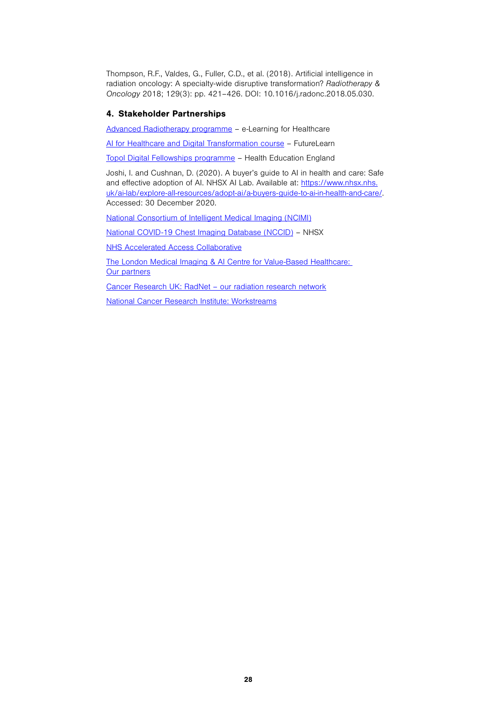Thompson, R.F., Valdes, G., Fuller, C.D., et al. (2018). Artificial intelligence in radiation oncology: A specialty-wide disruptive transformation? Radiotherapy & Oncology 2018; 129(3): pp. 421–426. DOI: 10.1016/j.radonc.2018.05.030.

## 4. Stakeholder Partnerships

[Advanced Radiotherapy programme](https://www.e-lfh.org.uk/programmes/advanced-radiotherapy/) – e-Learning for Healthcare

[AI for Healthcare and Digital Transformation course](https://www.futurelearn.com/courses/artificial-intelligence-in-healthcare) – FutureLearn

[Topol Digital Fellowships programme](https://topol.hee.nhs.uk/digital-fellowships/) – Health Education England

Joshi, I. and Cushnan, D. (2020). A buyer's guide to AI in health and care: Safe and effective adoption of AI. NHSX AI Lab. Available at: [https://www.nhsx.nhs.](https://www.nhsx.nhs.uk/ai-lab/explore-all-resources/adopt-ai/a-buyers-guide-to-ai-in-health-and-care/) [uk/ai-lab/explore-all-resources/adopt-ai/a-buyers-guide-to-ai-in-health-and-care/.](https://www.nhsx.nhs.uk/ai-lab/explore-all-resources/adopt-ai/a-buyers-guide-to-ai-in-health-and-care/) Accessed: 30 December 2020.

[National Consortium of Intelligent Medical Imaging \(NCIMI\)](https://www.medsci.ox.ac.uk/research/networks/national-consortium-of-intelligent-medical-imaging)

[National COVID-19 Chest Imaging Database \(NCCID\)](https://www.nhsx.nhs.uk/covid-19-response/data-and-covid-19/national-covid-19-chest-imaging-database-nccid/) – NHSX

[NHS Accelerated Access Collaborative](https://www.england.nhs.uk/aac/)

[The London Medical Imaging & AI Centre for Value-Based Healthcare:](https://www.aicentre.co.uk/our-partners)  [Our partners](https://www.aicentre.co.uk/our-partners)

[Cancer Research UK: RadNet – our radiation research network](https://www.cancerresearchuk.org/funding-for-researchers/our-research-infrastructure/radnet-our-radiation-research-network)

[National Cancer Research Institute: Workstreams](https://www.ncri.org.uk/how-we-work/ctrad/workstreams/)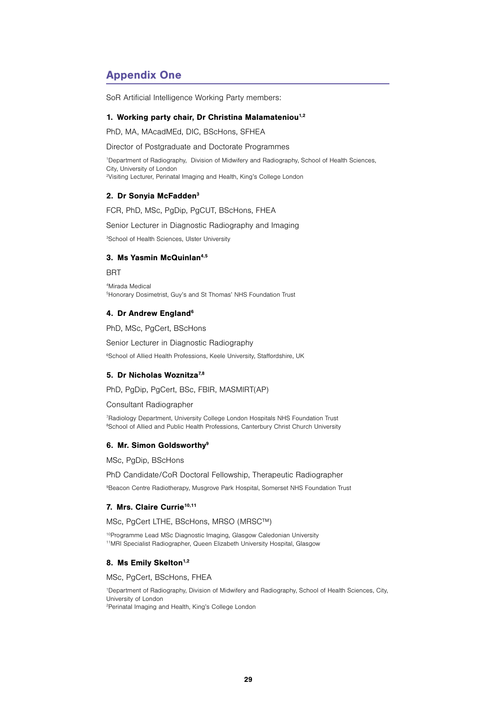# Appendix One

SoR Artificial Intelligence Working Party members:

#### 1. Working party chair, Dr Christina Malamateniou<sup>1,2</sup>

PhD, MA, MAcadMEd, DIC, BScHons, SFHEA

Director of Postgraduate and Doctorate Programmes

1 Department of Radiography, Division of Midwifery and Radiography, School of Health Sciences, City, University of London 2 Visiting Lecturer, Perinatal Imaging and Health, King's College London

#### 2. Dr Sonyia McFadden3

FCR, PhD, MSc, PgDip, PgCUT, BScHons, FHEA

Senior Lecturer in Diagnostic Radiography and Imaging

3 School of Health Sciences, Ulster University

#### 3. Ms Yasmin McQuinlan<sup>4,5</sup>

BRT

4 Mirada Medical 5 Honorary Dosimetrist, Guy's and St Thomas' NHS Foundation Trust

#### 4. Dr Andrew England<sup>6</sup>

PhD, MSc, PgCert, BScHons

Senior Lecturer in Diagnostic Radiography 6 School of Allied Health Professions, Keele University, Staffordshire, UK

## 5. Dr Nicholas Woznitza<sup>7,8</sup>

PhD, PgDip, PgCert, BSc, FBIR, MASMIRT(AP)

#### Consultant Radiographer

7 Radiology Department, University College London Hospitals NHS Foundation Trust <sup>8</sup>School of Allied and Public Health Professions, Canterbury Christ Church University

#### 6. Mr. Simon Goldsworthy9

MSc, PgDip, BScHons

PhD Candidate/CoR Doctoral Fellowship, Therapeutic Radiographer

9 Beacon Centre Radiotherapy, Musgrove Park Hospital, Somerset NHS Foundation Trust

## 7. Mrs. Claire Currie<sup>10,11</sup>

MSc, PgCert LTHE, BScHons, MRSO (MRSC™)

10Programme Lead MSc Diagnostic Imaging, Glasgow Caledonian University 11MRI Specialist Radiographer, Queen Elizabeth University Hospital, Glasgow

#### 8. Ms Emily Skelton<sup>1,2</sup>

MSc, PgCert, BScHons, FHEA

1 Department of Radiography, Division of Midwifery and Radiography, School of Health Sciences, City, University of London 2 Perinatal Imaging and Health, King's College London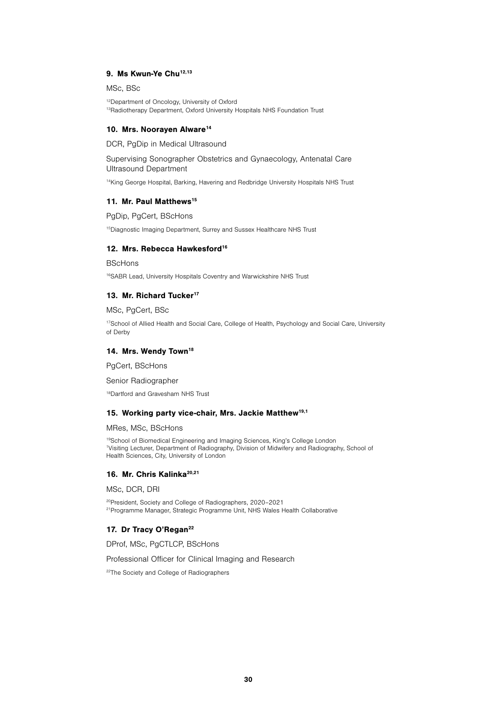## 9. Ms Kwun-Ye Chu<sup>12,13</sup>

MSc, BSc

12Department of Oncology, University of Oxford 13Radiotherapy Department, Oxford University Hospitals NHS Foundation Trust

#### 10. Mrs. Nooraven Alware<sup>14</sup>

DCR, PgDip in Medical Ultrasound

Supervising Sonographer Obstetrics and Gynaecology, Antenatal Care Ultrasound Department

14King George Hospital, Barking, Havering and Redbridge University Hospitals NHS Trust

#### 11. Mr. Paul Matthews<sup>15</sup>

PgDip, PgCert, BScHons

15Diagnostic Imaging Department, Surrey and Sussex Healthcare NHS Trust

## 12. Mrs. Rebecca Hawkesford<sup>16</sup>

BScHons

16SABR Lead, University Hospitals Coventry and Warwickshire NHS Trust

#### 13. Mr. Richard Tucker<sup>17</sup>

MSc, PgCert, BSc

<sup>17</sup>School of Allied Health and Social Care, College of Health, Psychology and Social Care, University of Derby

#### 14. Mrs. Wendy Town<sup>18</sup>

PgCert, BScHons

Senior Radiographer

18Dartford and Gravesham NHS Trust

#### 15. Working party vice-chair, Mrs. Jackie Matthew19,1

MRes, MSc, BScHons

19School of Biomedical Engineering and Imaging Sciences, King's College London 1 Visiting Lecturer, Department of Radiography, Division of Midwifery and Radiography, School of Health Sciences, City, University of London

## 16. Mr. Chris Kalinka<sup>20,21</sup>

MSc, DCR, DRI

20President, Society and College of Radiographers, 2020–2021 <sup>21</sup> Programme Manager, Strategic Programme Unit, NHS Wales Health Collaborative

#### 17. Dr Tracy O'Regan<sup>22</sup>

DProf, MSc, PgCTLCP, BScHons

Professional Officer for Clinical Imaging and Research

<sup>22</sup>The Society and College of Radiographers